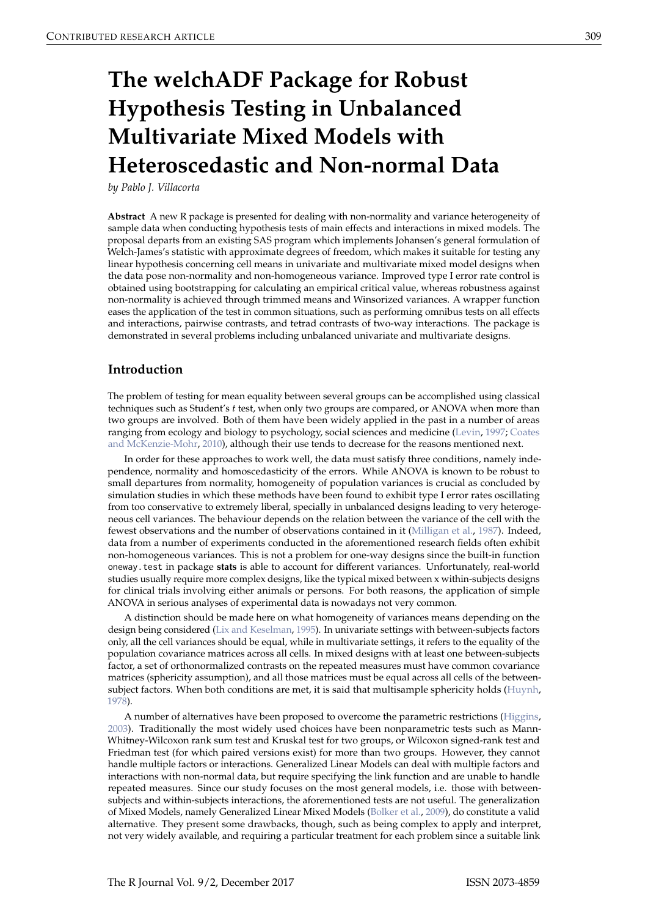# **The welchADF Package for Robust Hypothesis Testing in Unbalanced Multivariate Mixed Models with Heteroscedastic and Non-normal Data**

*by Pablo J. Villacorta*

**Abstract** A new R package is presented for dealing with non-normality and variance heterogeneity of sample data when conducting hypothesis tests of main effects and interactions in mixed models. The proposal departs from an existing SAS program which implements Johansen's general formulation of Welch-James's statistic with approximate degrees of freedom, which makes it suitable for testing any linear hypothesis concerning cell means in univariate and multivariate mixed model designs when the data pose non-normality and non-homogeneous variance. Improved type I error rate control is obtained using bootstrapping for calculating an empirical critical value, whereas robustness against non-normality is achieved through trimmed means and Winsorized variances. A wrapper function eases the application of the test in common situations, such as performing omnibus tests on all effects and interactions, pairwise contrasts, and tetrad contrasts of two-way interactions. The package is demonstrated in several problems including unbalanced univariate and multivariate designs.

## **Introduction**

The problem of testing for mean equality between several groups can be accomplished using classical techniques such as Student's *t* test, when only two groups are compared, or ANOVA when more than two groups are involved. Both of them have been widely applied in the past in a number of areas ranging from ecology and biology to psychology, social sciences and medicine (Levin, 1997; Coates and McKenzie-Mohr, 2010), although their use tends to decrease for the reasons mentioned next.

In order for these approaches to work well, the data must satisfy three conditions, namely independence, normality and homoscedasticity of the errors. While ANOVA is known to be robust to small departures from normality, homogeneity of population variances is crucial as concluded by simulation studies in which these methods have been found to exhibit type I error rates oscillating from too conservative to extremely liberal, specially in unbalanced designs leading to very heterogeneous cell variances. The behaviour depends on the relation between the variance of the cell with the fewest observations and the number of observations contained in it (Milligan et al., 1987). Indeed, data from a number of experiments conducted in the aforementioned research fields often exhibit non-homogeneous variances. This is not a problem for one-way designs since the built-in function oneway.test in package **stats** is able to account for different variances. Unfortunately, real-world studies usually require more complex designs, like the typical mixed between x within-subjects designs for clinical trials involving either animals or persons. For both reasons, the application of simple ANOVA in serious analyses of experimental data is nowadays not very common.

A distinction should be made here on what homogeneity of variances means depending on the design being considered (Lix and Keselman, 1995). In univariate settings with between-subjects factors only, all the cell variances should be equal, while in multivariate settings, it refers to the equality of the population covariance matrices across all cells. In mixed designs with at least one between-subjects factor, a set of orthonormalized contrasts on the repeated measures must have common covariance matrices (sphericity assumption), and all those matrices must be equal across all cells of the betweensubject factors. When both conditions are met, it is said that multisample sphericity holds (Huynh, 1978).

A number of alternatives have been proposed to overcome the parametric restrictions (Higgins, 2003). Traditionally the most widely used choices have been nonparametric tests such as Mann-Whitney-Wilcoxon rank sum test and Kruskal test for two groups, or Wilcoxon signed-rank test and Friedman test (for which paired versions exist) for more than two groups. However, they cannot handle multiple factors or interactions. Generalized Linear Models can deal with multiple factors and interactions with non-normal data, but require specifying the link function and are unable to handle repeated measures. Since our study focuses on the most general models, i.e. those with betweensubjects and within-subjects interactions, the aforementioned tests are not useful. The generalization of Mixed Models, namely Generalized Linear Mixed Models (Bolker et al., 2009), do constitute a valid alternative. They present some drawbacks, though, such as being complex to apply and interpret, not very widely available, and requiring a particular treatment for each problem since a suitable link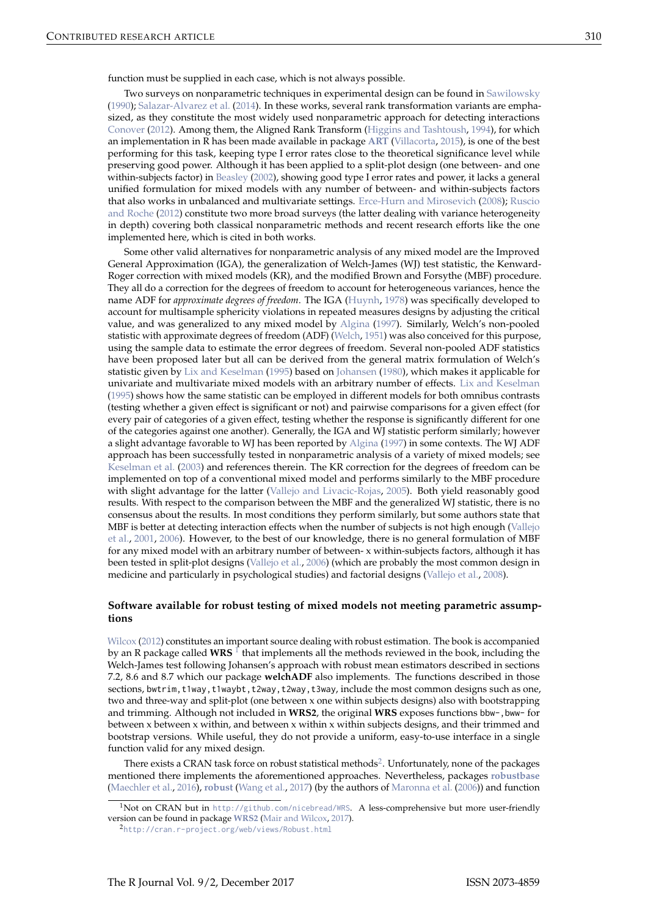Two surveys on nonparametric techniques in experimental design can be found in Sawilowsky (1990); Salazar-Alvarez et al. (2014). In these works, several rank transformation variants are emphasized, as they constitute the most widely used nonparametric approach for detecting interactions Conover (2012). Among them, the Aligned Rank Transform (Higgins and Tashtoush, 1994), for which an implementation in R has been made available in package **ART** (Villacorta, 2015), is one of the best performing for this task, keeping type I error rates close to the theoretical significance level while preserving good power. Although it has been applied to a split-plot design (one between- and one within-subjects factor) in Beasley (2002), showing good type I error rates and power, it lacks a general unified formulation for mixed models with any number of between- and within-subjects factors that also works in unbalanced and multivariate settings. Erce-Hurn and Mirosevich (2008); Ruscio and Roche (2012) constitute two more broad surveys (the latter dealing with variance heterogeneity in depth) covering both classical nonparametric methods and recent research efforts like the one implemented here, which is cited in both works.

Some other valid alternatives for nonparametric analysis of any mixed model are the Improved General Approximation (IGA), the generalization of Welch-James (WJ) test statistic, the Kenward-Roger correction with mixed models (KR), and the modified Brown and Forsythe (MBF) procedure. They all do a correction for the degrees of freedom to account for heterogeneous variances, hence the name ADF for *approximate degrees of freedom*. The IGA (Huynh, 1978) was specifically developed to account for multisample sphericity violations in repeated measures designs by adjusting the critical value, and was generalized to any mixed model by Algina (1997). Similarly, Welch's non-pooled statistic with approximate degrees of freedom (ADF) (Welch, 1951) was also conceived for this purpose, using the sample data to estimate the error degrees of freedom. Several non-pooled ADF statistics have been proposed later but all can be derived from the general matrix formulation of Welch's statistic given by Lix and Keselman (1995) based on Johansen (1980), which makes it applicable for univariate and multivariate mixed models with an arbitrary number of effects. Lix and Keselman (1995) shows how the same statistic can be employed in different models for both omnibus contrasts (testing whether a given effect is significant or not) and pairwise comparisons for a given effect (for every pair of categories of a given effect, testing whether the response is significantly different for one of the categories against one another). Generally, the IGA and WJ statistic perform similarly; however a slight advantage favorable to WJ has been reported by Algina (1997) in some contexts. The WJ ADF approach has been successfully tested in nonparametric analysis of a variety of mixed models; see Keselman et al. (2003) and references therein. The KR correction for the degrees of freedom can be implemented on top of a conventional mixed model and performs similarly to the MBF procedure with slight advantage for the latter (Vallejo and Livacic-Rojas, 2005). Both yield reasonably good results. With respect to the comparison between the MBF and the generalized WJ statistic, there is no consensus about the results. In most conditions they perform similarly, but some authors state that MBF is better at detecting interaction effects when the number of subjects is not high enough (Vallejo et al., 2001, 2006). However, to the best of our knowledge, there is no general formulation of MBF for any mixed model with an arbitrary number of between- x within-subjects factors, although it has been tested in split-plot designs (Vallejo et al., 2006) (which are probably the most common design in medicine and particularly in psychological studies) and factorial designs (Vallejo et al., 2008).

## **Software available for robust testing of mixed models not meeting parametric assumptions**

Wilcox (2012) constitutes an important source dealing with robust estimation. The book is accompanied by an R package called WRS <sup>1</sup> that implements all the methods reviewed in the book, including the Welch-James test following Johansen's approach with robust mean estimators described in sections 7.2, 8.6 and 8.7 which our package **welchADF** also implements. The functions described in those sections, bwtrim, t1way, t1waybt, t2way, t2way, t3way, include the most common designs such as one, two and three-way and split-plot (one between x one within subjects designs) also with bootstrapping and trimming. Although not included in **WRS2**, the original **WRS** exposes functions bbw-,bww- for between x between x within, and between x within x within subjects designs, and their trimmed and bootstrap versions. While useful, they do not provide a uniform, easy-to-use interface in a single function valid for any mixed design.

There exists a CRAN task force on robust statistical methods<sup>2</sup>. Unfortunately, none of the packages mentioned there implements the aforementioned approaches. Nevertheless, packages **robustbase** (Maechler et al., 2016), **robust** (Wang et al., 2017) (by the authors of Maronna et al. (2006)) and function

<sup>&</sup>lt;sup>1</sup>Not on CRAN but in http://github.com/nicebread/WRS. A less-comprehensive but more user-friendly version can be found in package **WRS2** (Mair and Wilcox, 2017).

<sup>2</sup>http://cran.r-project.org/web/views/Robust.html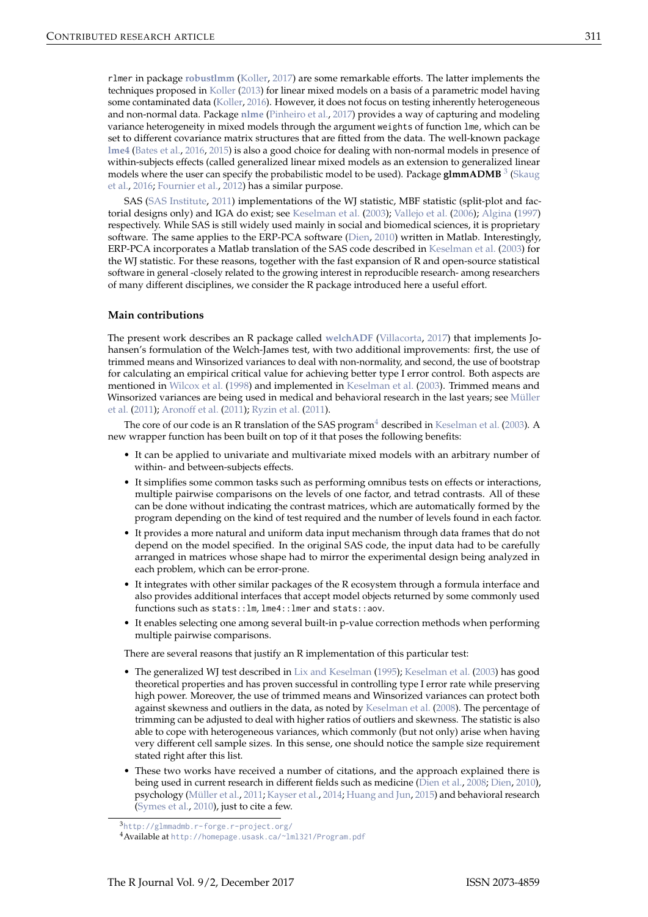rlmer in package **robustlmm** (Koller, 2017) are some remarkable efforts. The latter implements the techniques proposed in Koller (2013) for linear mixed models on a basis of a parametric model having some contaminated data (Koller, 2016). However, it does not focus on testing inherently heterogeneous and non-normal data. Package **nlme** (Pinheiro et al., 2017) provides a way of capturing and modeling variance heterogeneity in mixed models through the argument weights of function lme, which can be set to different covariance matrix structures that are fitted from the data. The well-known package **lme4** (Bates et al., 2016, 2015) is also a good choice for dealing with non-normal models in presence of within-subjects effects (called generalized linear mixed models as an extension to generalized linear models where the user can specify the probabilistic model to be used). Package **glmmADMB**<sup>3</sup> (Skaug et al., 2016; Fournier et al., 2012) has a similar purpose.

SAS (SAS Institute, 2011) implementations of the WJ statistic, MBF statistic (split-plot and factorial designs only) and IGA do exist; see Keselman et al. (2003); Vallejo et al. (2006); Algina (1997) respectively. While SAS is still widely used mainly in social and biomedical sciences, it is proprietary software. The same applies to the ERP-PCA software (Dien, 2010) written in Matlab. Interestingly, ERP-PCA incorporates a Matlab translation of the SAS code described in Keselman et al. (2003) for the WJ statistic. For these reasons, together with the fast expansion of R and open-source statistical software in general -closely related to the growing interest in reproducible research- among researchers of many different disciplines, we consider the R package introduced here a useful effort.

#### **Main contributions**

The present work describes an R package called **welchADF** (Villacorta, 2017) that implements Johansen's formulation of the Welch-James test, with two additional improvements: first, the use of trimmed means and Winsorized variances to deal with non-normality, and second, the use of bootstrap for calculating an empirical critical value for achieving better type I error control. Both aspects are mentioned in Wilcox et al. (1998) and implemented in Keselman et al. (2003). Trimmed means and Winsorized variances are being used in medical and behavioral research in the last years; see Müller et al. (2011); Aronoff et al. (2011); Ryzin et al. (2011).

The core of our code is an R translation of the SAS program $4$  described in Keselman et al. (2003). A new wrapper function has been built on top of it that poses the following benefits:

- It can be applied to univariate and multivariate mixed models with an arbitrary number of within- and between-subjects effects.
- It simplifies some common tasks such as performing omnibus tests on effects or interactions, multiple pairwise comparisons on the levels of one factor, and tetrad contrasts. All of these can be done without indicating the contrast matrices, which are automatically formed by the program depending on the kind of test required and the number of levels found in each factor.
- It provides a more natural and uniform data input mechanism through data frames that do not depend on the model specified. In the original SAS code, the input data had to be carefully arranged in matrices whose shape had to mirror the experimental design being analyzed in each problem, which can be error-prone.
- It integrates with other similar packages of the R ecosystem through a formula interface and also provides additional interfaces that accept model objects returned by some commonly used functions such as stats::lm, lme4::lmer and stats::aov.
- It enables selecting one among several built-in p-value correction methods when performing multiple pairwise comparisons.

There are several reasons that justify an R implementation of this particular test:

- The generalized WJ test described in Lix and Keselman (1995); Keselman et al. (2003) has good theoretical properties and has proven successful in controlling type I error rate while preserving high power. Moreover, the use of trimmed means and Winsorized variances can protect both against skewness and outliers in the data, as noted by Keselman et al. (2008). The percentage of trimming can be adjusted to deal with higher ratios of outliers and skewness. The statistic is also able to cope with heterogeneous variances, which commonly (but not only) arise when having very different cell sample sizes. In this sense, one should notice the sample size requirement stated right after this list.
- These two works have received a number of citations, and the approach explained there is being used in current research in different fields such as medicine (Dien et al., 2008; Dien, 2010), psychology (Müller et al., 2011; Kayser et al., 2014; Huang and Jun, 2015) and behavioral research (Symes et al., 2010), just to cite a few.

<sup>3</sup>http://glmmadmb.r-forge.r-project.org/

<sup>4</sup>Available at http://homepage.usask.ca/~lml321/Program.pdf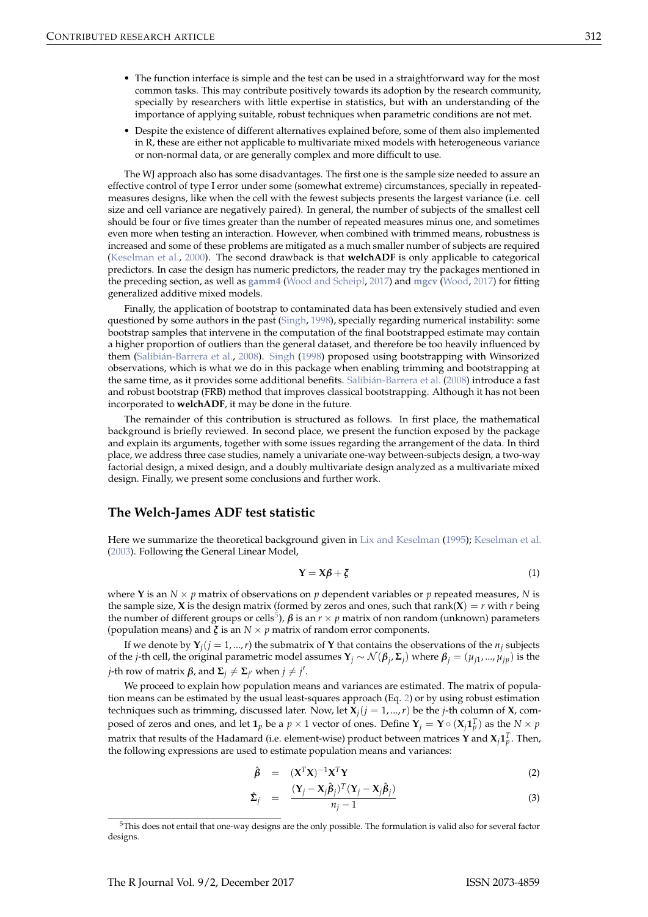- The function interface is simple and the test can be used in a straightforward way for the most common tasks. This may contribute positively towards its adoption by the research community, specially by researchers with little expertise in statistics, but with an understanding of the importance of applying suitable, robust techniques when parametric conditions are not met.
- Despite the existence of different alternatives explained before, some of them also implemented in R, these are either not applicable to multivariate mixed models with heterogeneous variance or non-normal data, or are generally complex and more difficult to use.

The WJ approach also has some disadvantages. The first one is the sample size needed to assure an effective control of type I error under some (somewhat extreme) circumstances, specially in repeatedmeasures designs, like when the cell with the fewest subjects presents the largest variance (i.e. cell size and cell variance are negatively paired). In general, the number of subjects of the smallest cell should be four or five times greater than the number of repeated measures minus one, and sometimes even more when testing an interaction. However, when combined with trimmed means, robustness is increased and some of these problems are mitigated as a much smaller number of subjects are required (Keselman et al., 2000). The second drawback is that **welchADF** is only applicable to categorical predictors. In case the design has numeric predictors, the reader may try the packages mentioned in the preceding section, as well as **gamm4** (Wood and Scheipl, 2017) and **mgcv** (Wood, 2017) for fitting generalized additive mixed models.

Finally, the application of bootstrap to contaminated data has been extensively studied and even questioned by some authors in the past (Singh, 1998), specially regarding numerical instability: some bootstrap samples that intervene in the computation of the final bootstrapped estimate may contain a higher proportion of outliers than the general dataset, and therefore be too heavily influenced by them (Salibián-Barrera et al., 2008). Singh (1998) proposed using bootstrapping with Winsorized observations, which is what we do in this package when enabling trimming and bootstrapping at the same time, as it provides some additional benefits. Salibián-Barrera et al. (2008) introduce a fast and robust bootstrap (FRB) method that improves classical bootstrapping. Although it has not been incorporated to **welchADF**, it may be done in the future.

The remainder of this contribution is structured as follows. In first place, the mathematical background is briefly reviewed. In second place, we present the function exposed by the package and explain its arguments, together with some issues regarding the arrangement of the data. In third place, we address three case studies, namely a univariate one-way between-subjects design, a two-way factorial design, a mixed design, and a doubly multivariate design analyzed as a multivariate mixed design. Finally, we present some conclusions and further work.

## **The Welch-James ADF test statistic**

Here we summarize the theoretical background given in Lix and Keselman (1995); Keselman et al. (2003). Following the General Linear Model,

$$
Y = X\beta + \xi \tag{1}
$$

where **Y** is an  $N \times p$  matrix of observations on p dependent variables or p repeated measures, N is the sample size, **X** is the design matrix (formed by zeros and ones, such that rank(**X**) = *r* with *r* being the number of different groups or cells<sup>5</sup>),  $\beta$  is an  $r \times p$  matrix of non random (unknown) parameters (population means) and  $\zeta$  is an  $N \times p$  matrix of random error components.

If we denote by  $Y_j$   $(j = 1, ..., r)$  the submatrix of **Y** that contains the observations of the  $n_j$  subjects of the *j*-th cell, the original parametric model assumes **Y***<sup>j</sup>* ∼ N (*β<sup>j</sup>* , **Σ***<sup>j</sup>* ) where *β<sup>j</sup>* = (*µj*<sup>1</sup> , ..., *µjp*) is the *j*-th row of matrix  $\beta$ , and  $\Sigma_j \neq \Sigma_{j'}$  when  $j \neq j'$ .

We proceed to explain how population means and variances are estimated. The matrix of population means can be estimated by the usual least-squares approach (Eq. 2) or by using robust estimation techniques such as trimming, discussed later. Now, let  $X_j (j = 1, ..., r)$  be the *j*-th column of **X**, composed of zeros and ones, and let  $1_p$  be a  $p \times 1$  vector of ones. Define  $\mathbf{Y}_j = \mathbf{Y} \circ (\mathbf{X}_j \mathbf{1}_p^T)$  as the  $N \times p$ matrix that results of the Hadamard (i.e. element-wise) product between matrices **Y** and  $\mathbf{X}_j \mathbf{1}_p^T$ . Then, the following expressions are used to estimate population means and variances:

$$
\hat{\beta} = (X^T X)^{-1} X^T Y \tag{2}
$$

$$
\hat{\Sigma}_j = \frac{(\mathbf{Y}_j - \mathbf{X}_j \hat{\boldsymbol{\beta}}_j)^T (\mathbf{Y}_j - \mathbf{X}_j \hat{\boldsymbol{\beta}}_j)}{n_j - 1}
$$
(3)

 $5$ This does not entail that one-way designs are the only possible. The formulation is valid also for several factor designs.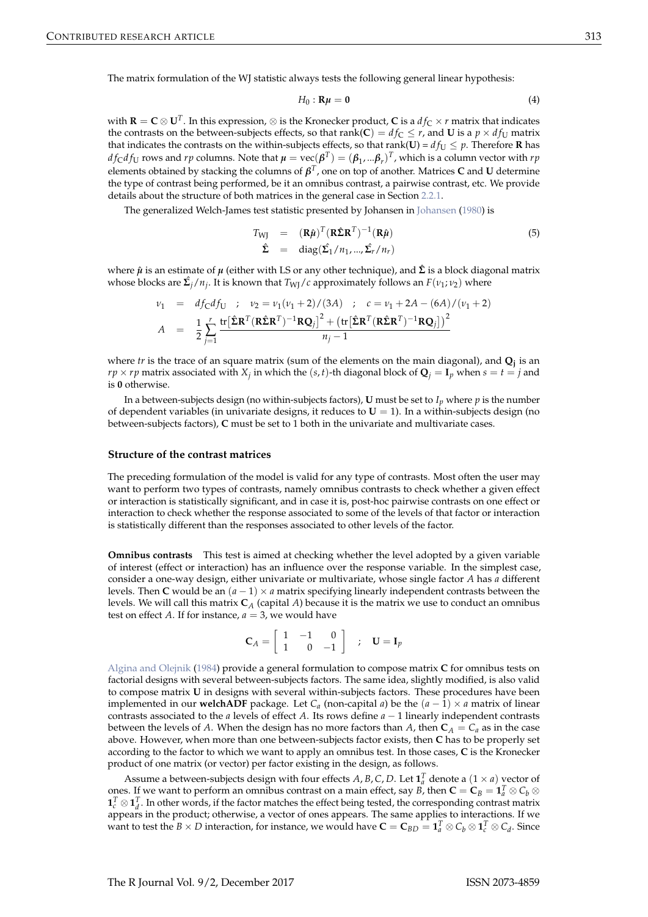The matrix formulation of the WJ statistic always tests the following general linear hypothesis:

$$
H_0: \mathbf{R}\mu = \mathbf{0} \tag{4}
$$

with **R** = **C**  $\otimes$  **U**<sup>*T*</sup>. In this expression,  $\otimes$  is the Kronecker product, **C** is a  $df_C \times r$  matrix that indicates the contrasts on the between-subjects effects, so that  $rank(C) = df_C \leq r$ , and **U** is a  $p \times df_U$  matrix that indicates the contrasts on the within-subjects effects, so that  $rank(U) = df_U \leq p$ . Therefore **R** has  $df_Cdf_U$  rows and *rp* columns. Note that  $\mu = \text{vec}(\bm{\beta}^T) = (\bm{\beta}_1,...\bm{\beta}_r)^T$ , which is a column vector with *rp* elements obtained by stacking the columns of *β T* , one on top of another. Matrices **C** and **U** determine the type of contrast being performed, be it an omnibus contrast, a pairwise contrast, etc. We provide details about the structure of both matrices in the general case in Section 2.2.1.

The generalized Welch-James test statistic presented by Johansen in Johansen (1980) is

$$
T_{\text{WJ}} = (\mathbf{R}\hat{\boldsymbol{\mu}})^{T} (\mathbf{R}\hat{\boldsymbol{\Sigma}}\mathbf{R}^{T})^{-1} (\mathbf{R}\hat{\boldsymbol{\mu}})
$$
  
\n
$$
\hat{\boldsymbol{\Sigma}} = \text{diag}(\hat{\boldsymbol{\Sigma}}_{1}/n_{1},...,\hat{\boldsymbol{\Sigma}}_{r}/n_{r})
$$
\n(5)

where *µ*ˆ is an estimate of *µ* (either with LS or any other technique), and **Σ**ˆ is a block diagonal matrix whose blocks are **Σ**ˆ *<sup>j</sup>*/*n<sup>j</sup>* . It is known that *T*WJ/*c* approximately follows an *F*(*ν*<sup>1</sup> ; *ν*2) where

$$
v_1 = df_C df_U ; v_2 = v_1 (v_1 + 2) / (3A) ; c = v_1 + 2A - (6A) / (v_1 + 2)
$$
  

$$
A = \frac{1}{2} \sum_{j=1}^r \frac{\text{tr}[\hat{\Sigma} \mathbf{R}^T (\mathbf{R} \hat{\Sigma} \mathbf{R}^T)^{-1} \mathbf{R} \mathbf{Q}_j]^2 + (\text{tr}[\hat{\Sigma} \mathbf{R}^T (\mathbf{R} \hat{\Sigma} \mathbf{R}^T)^{-1} \mathbf{R} \mathbf{Q}_j])^2}{n_j - 1}
$$

where *tr* is the trace of an square matrix (sum of the elements on the main diagonal), and **Q<sup>j</sup>** is an  $rp \times rp$  matrix associated with  $X_j$  in which the  $(s, t)$ -th diagonal block of  $\mathbf{Q}_j = \mathbf{I}_p$  when  $s = t = j$  and is **0** otherwise.

In a between-subjects design (no within-subjects factors), **U** must be set to  $I_p$  where  $p$  is the number of dependent variables (in univariate designs, it reduces to  $U = 1$ ). In a within-subjects design (no between-subjects factors), **C** must be set to 1 both in the univariate and multivariate cases.

#### **Structure of the contrast matrices**

The preceding formulation of the model is valid for any type of contrasts. Most often the user may want to perform two types of contrasts, namely omnibus contrasts to check whether a given effect or interaction is statistically significant, and in case it is, post-hoc pairwise contrasts on one effect or interaction to check whether the response associated to some of the levels of that factor or interaction is statistically different than the responses associated to other levels of the factor.

**Omnibus contrasts** This test is aimed at checking whether the level adopted by a given variable of interest (effect or interaction) has an influence over the response variable. In the simplest case, consider a one-way design, either univariate or multivariate, whose single factor *A* has *a* different levels. Then **C** would be an  $(a - 1) \times a$  matrix specifying linearly independent contrasts between the levels. We will call this matrix **C***<sup>A</sup>* (capital *A*) because it is the matrix we use to conduct an omnibus test on effect *A*. If for instance,  $a = 3$ , we would have

$$
\mathbf{C}_A = \left[ \begin{array}{ccc} 1 & -1 & 0 \\ 1 & 0 & -1 \end{array} \right] \quad ; \quad \mathbf{U} = \mathbf{I}_p
$$

Algina and Olejnik (1984) provide a general formulation to compose matrix **C** for omnibus tests on factorial designs with several between-subjects factors. The same idea, slightly modified, is also valid to compose matrix **U** in designs with several within-subjects factors. These procedures have been implemented in our **welchADF** package. Let  $C_a$  (non-capital *a*) be the  $(a - 1) \times a$  matrix of linear contrasts associated to the *a* levels of effect *A*. Its rows define *a* − 1 linearly independent contrasts between the levels of *A*. When the design has no more factors than *A*, then  $C_A = C_a$  as in the case above. However, when more than one between-subjects factor exists, then **C** has to be properly set according to the factor to which we want to apply an omnibus test. In those cases, **C** is the Kronecker product of one matrix (or vector) per factor existing in the design, as follows.

Assume a between-subjects design with four effects *A*, *B*, *C*, *D*. Let  $\mathbf{1}_a^T$  denote a  $(1 \times a)$  vector of ones. If we want to perform an omnibus contrast on a main effect, say *B*, then  $C = C_B = \mathbf{1}_a^T \otimes C_b \otimes T_a$  $\mathbf{1}_c^T \otimes \mathbf{1}_d^T$ . In other words, if the factor matches the effect being tested, the corresponding contrast matrix appears in the product; otherwise, a vector of ones appears. The same applies to interactions. If we want to test the  $B \times D$  interaction, for instance, we would have  $C = C_{BD} = \mathbf{1}_a^T \otimes C_b \otimes \mathbf{1}_c^T \otimes C_d$ . Since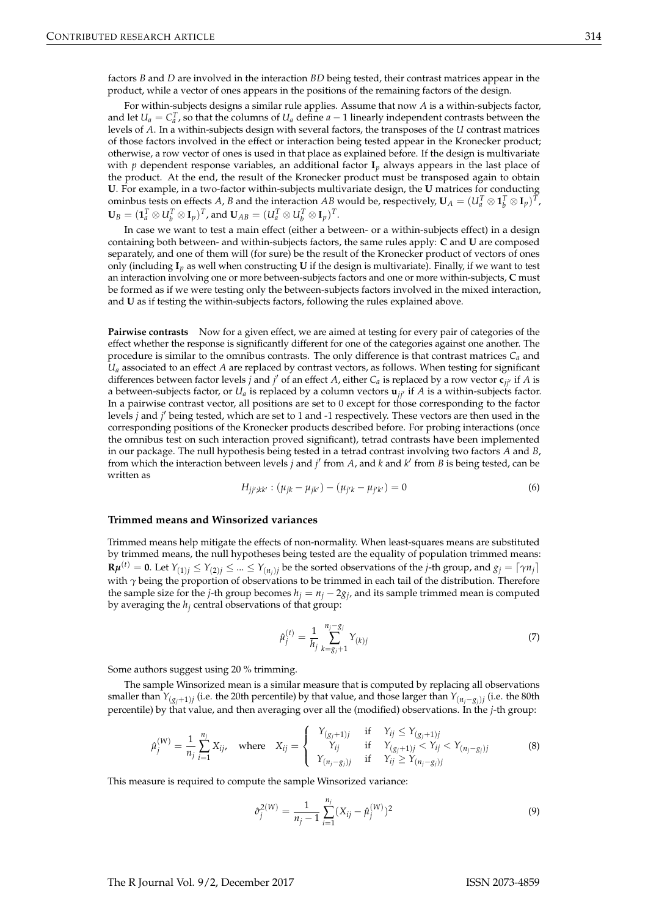factors *B* and *D* are involved in the interaction *BD* being tested, their contrast matrices appear in the product, while a vector of ones appears in the positions of the remaining factors of the design.

For within-subjects designs a similar rule applies. Assume that now *A* is a within-subjects factor, and let  $U_a = C_a^T$ , so that the columns of  $U_a$  define  $a - 1$  linearly independent contrasts between the levels of *A*. In a within-subjects design with several factors, the transposes of the *U* contrast matrices of those factors involved in the effect or interaction being tested appear in the Kronecker product; otherwise, a row vector of ones is used in that place as explained before. If the design is multivariate with *p* dependent response variables, an additional factor **I***<sup>p</sup>* always appears in the last place of the product. At the end, the result of the Kronecker product must be transposed again to obtain **U**. For example, in a two-factor within-subjects multivariate design, the **U** matrices for conducting ominbus tests on effects *A*, *B* and the interaction *AB* would be, respectively,  $\mathbf{U}_A = (U_a^T \otimes \mathbf{1}_b^T \otimes \mathbf{I}_p)^T$ ,  $\mathbf{U}_B = (\mathbf{1}_a^T \otimes U_b^T \otimes \mathbf{I}_p)^T$ , and  $\mathbf{U}_{AB} = (U_a^T \otimes U_b^T \otimes \mathbf{I}_p)^T$ .

In case we want to test a main effect (either a between- or a within-subjects effect) in a design containing both between- and within-subjects factors, the same rules apply: **C** and **U** are composed separately, and one of them will (for sure) be the result of the Kronecker product of vectors of ones only (including **I***p* as well when constructing **U** if the design is multivariate). Finally, if we want to test an interaction involving one or more between-subjects factors and one or more within-subjects, **C** must be formed as if we were testing only the between-subjects factors involved in the mixed interaction, and **U** as if testing the within-subjects factors, following the rules explained above.

**Pairwise contrasts** Now for a given effect, we are aimed at testing for every pair of categories of the effect whether the response is significantly different for one of the categories against one another. The procedure is similar to the omnibus contrasts. The only difference is that contrast matrices  $C_a$  and *U<sup>a</sup>* associated to an effect *A* are replaced by contrast vectors, as follows. When testing for significant differences between factor levels *j* and *j'* of an effect  $A$ , either  $C_a$  is replaced by a row vector  ${\sf c}_{jj'}$  if  $A$  is a between-subjects factor, or  $U_a$  is replaced by a column vectors  $\mathbf{u}_{ji'}$  if *A* is a within-subjects factor. In a pairwise contrast vector, all positions are set to 0 except for those corresponding to the factor levels *j* and *j* 0 being tested, which are set to 1 and -1 respectively. These vectors are then used in the corresponding positions of the Kronecker products described before. For probing interactions (once the omnibus test on such interaction proved significant), tetrad contrasts have been implemented in our package. The null hypothesis being tested in a tetrad contrast involving two factors *A* and *B*, from which the interaction between levels *j* and *j* 0 from *A*, and *k* and *k* 0 from *B* is being tested, can be written as

$$
H_{jj';kk'} : (\mu_{jk} - \mu_{jk'}) - (\mu_{j'k} - \mu_{j'k'}) = 0
$$
\n(6)

#### **Trimmed means and Winsorized variances**

Trimmed means help mitigate the effects of non-normality. When least-squares means are substituted by trimmed means, the null hypotheses being tested are the equality of population trimmed means:  $\mathbf{R}\bm{\mu}^{(t)}=\bm{0}.$  Let  $Y_{(1)j}\leq Y_{(2)j}\leq...\leq Y_{(n_j)j}$  be the sorted observations of the  $j$ -th group, and  $g_j=\lceil\gamma n_j\rceil$ with *γ* being the proportion of observations to be trimmed in each tail of the distribution. Therefore the sample size for the *j*-th group becomes  $h_j = n_j - 2g_j$ , and its sample trimmed mean is computed by averaging the *h<sup>j</sup>* central observations of that group:

$$
\hat{\mu}_j^{(t)} = \frac{1}{h_j} \sum_{k=g_j+1}^{n_j - g_j} Y_{(k)j} \tag{7}
$$

Some authors suggest using 20 % trimming.

The sample Winsorized mean is a similar measure that is computed by replacing all observations smaller than *Y*(*gj*+1)*<sup>j</sup>* (i.e. the 20th percentile) by that value, and those larger than *<sup>Y</sup>*(*nj*−*gj*)*<sup>j</sup>* (i.e. the 80th percentile) by that value, and then averaging over all the (modified) observations. In the *j*-th group:

$$
\hat{\mu}_j^{(W)} = \frac{1}{n_j} \sum_{i=1}^{n_j} X_{ij}, \quad \text{where} \quad X_{ij} = \begin{cases} Y_{(g_j+1)j} & \text{if} \quad Y_{ij} \le Y_{(g_j+1)j} \\ Y_{ij} & \text{if} \quad Y_{(g_j+1)j} < Y_{ij} < Y_{(n_j-g_j)j} \\ Y_{(n_j-g_j)j} & \text{if} \quad Y_{ij} \ge Y_{(n_j-g_j)j} \end{cases} \tag{8}
$$

This measure is required to compute the sample Winsorized variance:

$$
\hat{\sigma}_j^{2(W)} = \frac{1}{n_j - 1} \sum_{i=1}^{n_j} (X_{ij} - \hat{\mu}_j^{(W)})^2
$$
\n(9)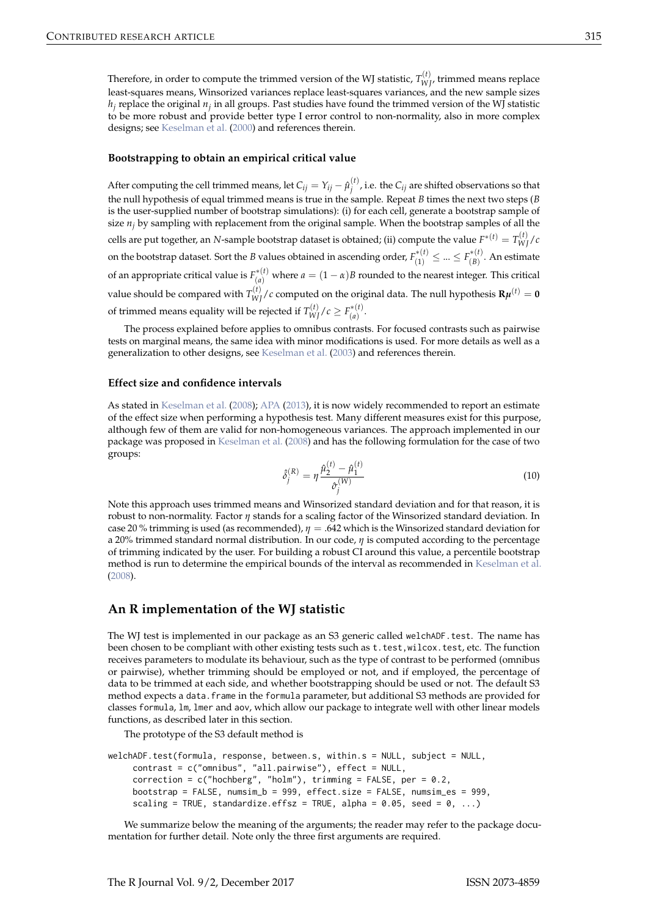Therefore, in order to compute the trimmed version of the WJ statistic,  $T_{WJ}^{(t)}$ , trimmed means replace least-squares means, Winsorized variances replace least-squares variances, and the new sample sizes  $h_j$  replace the original  $n_j$  in all groups. Past studies have found the trimmed version of the WJ statistic to be more robust and provide better type I error control to non-normality, also in more complex designs; see Keselman et al. (2000) and references therein.

#### **Bootstrapping to obtain an empirical critical value**

After computing the cell trimmed means, let  $C_{ij} = Y_{ij} - \hat{\mu}_j^{(t)}$  $\int_{i}^{(t)}$ , i.e. the  $C_{ij}$  are shifted observations so that the null hypothesis of equal trimmed means is true in the sample. Repeat *B* times the next two steps (*B* is the user-supplied number of bootstrap simulations): (i) for each cell, generate a bootstrap sample of size  $n_j$  by sampling with replacement from the original sample. When the bootstrap samples of all the cells are put together, an *N*-sample bootstrap dataset is obtained; (ii) compute the value  $F^{*(t)} = T_{WJ}^{(t)}/c$ on the bootstrap dataset. Sort the *B* values obtained in ascending order,  $F^{*(t)}_{(1)} \leq ... \leq F^{*(t)}_{(B)}$ . An estimate of an appropriate critical value is  $F_{(a)}^{*(t)}$  where  $a = (1 - \alpha)B$  rounded to the nearest integer. This critical value should be compared with  $T_{WJ}^{(t)}/c$  computed on the original data. The null hypothesis  ${\bf R}\mu^{(t)}={\bf 0}$ of trimmed means equality will be rejected if  $T_{WJ}^{(t)}/c \geq F_{(a)}^{*(t)}$ .

The process explained before applies to omnibus contrasts. For focused contrasts such as pairwise tests on marginal means, the same idea with minor modifications is used. For more details as well as a generalization to other designs, see Keselman et al. (2003) and references therein.

#### **Effect size and confidence intervals**

As stated in Keselman et al. (2008); APA (2013), it is now widely recommended to report an estimate of the effect size when performing a hypothesis test. Many different measures exist for this purpose, although few of them are valid for non-homogeneous variances. The approach implemented in our package was proposed in Keselman et al. (2008) and has the following formulation for the case of two groups:

$$
\hat{\delta}_j^{(R)} = \eta \frac{\hat{\mu}_2^{(t)} - \hat{\mu}_1^{(t)}}{\hat{\sigma}_j^{(W)}} \tag{10}
$$

Note this approach uses trimmed means and Winsorized standard deviation and for that reason, it is robust to non-normality. Factor *η* stands for a scaling factor of the Winsorized standard deviation. In case 20 % trimming is used (as recommended), *η* = .642 which is the Winsorized standard deviation for a 20% trimmed standard normal distribution. In our code, *η* is computed according to the percentage of trimming indicated by the user. For building a robust CI around this value, a percentile bootstrap method is run to determine the empirical bounds of the interval as recommended in Keselman et al. (2008).

# **An R implementation of the WJ statistic**

The WJ test is implemented in our package as an S3 generic called welchADF.test. The name has been chosen to be compliant with other existing tests such as t.test, wilcox.test, etc. The function receives parameters to modulate its behaviour, such as the type of contrast to be performed (omnibus or pairwise), whether trimming should be employed or not, and if employed, the percentage of data to be trimmed at each side, and whether bootstrapping should be used or not. The default S3 method expects a data.frame in the formula parameter, but additional S3 methods are provided for classes formula, lm, lmer and aov, which allow our package to integrate well with other linear models functions, as described later in this section.

The prototype of the S3 default method is

```
welchADF.test(formula, response, between.s, within.s = NULL, subject = NULL,
    contrast = c("omnibus", "all.pairwise"), effect = NULL,
    correction = c("hochberg", "holm"), trimming = FALSE, per = 0.2,
    bootstrap = FALSE, numsim_b = 999, effect.size = FALSE, numsim_es = 999,
    scaling = TRUE, standardize.effsz = TRUE, alpha = 0.05, seed = 0, ...)
```
We summarize below the meaning of the arguments; the reader may refer to the package documentation for further detail. Note only the three first arguments are required.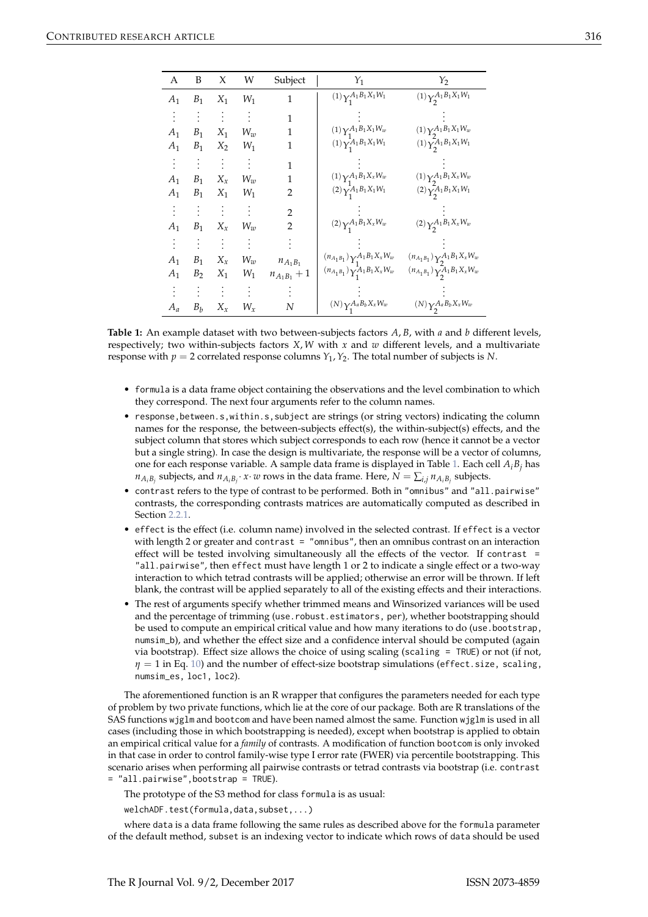| А     | B                  | X        | W     | Subject        | $Y_1$                                           | $Y_2$                                                    |
|-------|--------------------|----------|-------|----------------|-------------------------------------------------|----------------------------------------------------------|
| $A_1$ | $B_1$              | $X_1$    | $W_1$ | 1              | $(1)\gamma _{_{\scriptstyle 1}}^{A_1B_1X_1W_1}$ | $(1) \gamma_2^{A_1 B_1 X_1 W_1}$                         |
|       |                    | $\sim$   |       | 1              |                                                 |                                                          |
| $A_1$ | $B_1$              | $X_1$    | $W_w$ | 1              | $(1)\gamma_1^{A_1B_1X_1W_w}$                    | $(1)\gamma_2^{A_1B_1X_1W_w}$                             |
| $A_1$ | $B_1$              | $X_2$    | $W_1$ | 1              | $(1)$ $\sum_{1}^{A_1 B_1 X_1 W_1}$              | $(1) \, \gamma_{2}^{\overline{A}_{1} B_{1} X_{1} W_{1}}$ |
|       |                    | $\vdots$ |       | 1              |                                                 |                                                          |
| $A_1$ | $\boldsymbol{B}_1$ | $X_x$    | $W_w$ | 1              | $(1) \gamma_1^{A_1 B_1 X_x W_w}$                | $(1)\gamma_2^{A_1B_1X_xW_w}$                             |
| $A_1$ | $\boldsymbol{B}_1$ | $X_1$    | $W_1$ | 2              | $(2)\gamma_1^{A_1B_1X_1W_1}$                    | $(2)\gamma_2^{A_1B_1X_1W_1}$                             |
|       |                    |          |       | $\overline{2}$ |                                                 |                                                          |
| $A_1$ | $B_1$              | $X_{x}$  | $W_w$ | 2              | $(2)\gamma_1^{A_1B_1X_xW_w}$                    | $(2)\gamma_2^{A_1B_1X_xW_w}$                             |
|       |                    |          |       |                |                                                 |                                                          |
| $A_1$ | $B_1$              | $X_x$    | $W_w$ | $n_{A_1B_1}$   | $(n_{A_1B_1})\gamma_1^{A_1B_1X_xW_w}$           | $(n_{A_1B_1})\gamma_{2}^{A_1B_1X_xW_w}$                  |
| $A_1$ | B <sub>2</sub>     | $X_1$    | $W_1$ | $n_{A_1B_1}+1$ | $(n_{A_1B_1})\gamma^{\bar{A}_1B_1X_xW_w}_1$     | $(n_{A_1B_1})\gamma_2^A_1B_1X_xW_w$                      |
|       |                    |          |       |                |                                                 |                                                          |
| $A_a$ | $\boldsymbol{B}_b$ | $X_x$    | $W_x$ | Ν              | $(N)\gamma_1^{A_a B_b X_x W_w}$                 | $(N)\gamma_2^{A_a B_b X_x W_w}$                          |

**Table 1:** An example dataset with two between-subjects factors *A*, *B*, with *a* and *b* different levels, respectively; two within-subjects factors *X*, *W* with *x* and *w* different levels, and a multivariate response with  $p = 2$  correlated response columns  $Y_1$ ,  $Y_2$ . The total number of subjects is N.

- formula is a data frame object containing the observations and the level combination to which they correspond. The next four arguments refer to the column names.
- response, between.s, within.s, subject are strings (or string vectors) indicating the column names for the response, the between-subjects effect(s), the within-subject(s) effects, and the subject column that stores which subject corresponds to each row (hence it cannot be a vector but a single string). In case the design is multivariate, the response will be a vector of columns, one for each response variable. A sample data frame is displayed in Table 1. Each cell *AiB<sup>j</sup>* has  $n_{A_iB_j}$  subjects, and  $n_{A_iB_j}$ .  $x \cdot w$  rows in the data frame. Here,  $N = \sum_{i,j} n_{A_iB_j}$  subjects.
- contrast refers to the type of contrast to be performed. Both in "omnibus" and "all.pairwise" contrasts, the corresponding contrasts matrices are automatically computed as described in Section 2.2.1.
- effect is the effect (i.e. column name) involved in the selected contrast. If effect is a vector with length 2 or greater and contrast = "omnibus", then an omnibus contrast on an interaction effect will be tested involving simultaneously all the effects of the vector. If contrast = "all.pairwise", then effect must have length 1 or 2 to indicate a single effect or a two-way interaction to which tetrad contrasts will be applied; otherwise an error will be thrown. If left blank, the contrast will be applied separately to all of the existing effects and their interactions.
- The rest of arguments specify whether trimmed means and Winsorized variances will be used and the percentage of trimming (use.robust.estimators, per), whether bootstrapping should be used to compute an empirical critical value and how many iterations to do (use.bootstrap, numsim\_b), and whether the effect size and a confidence interval should be computed (again via bootstrap). Effect size allows the choice of using scaling (scaling = TRUE) or not (if not, *η* = 1 in Eq. 10) and the number of effect-size bootstrap simulations (effect.size, scaling, numsim\_es, loc1, loc2).

The aforementioned function is an R wrapper that configures the parameters needed for each type of problem by two private functions, which lie at the core of our package. Both are R translations of the SAS functions wjglm and bootcom and have been named almost the same. Function wjglm is used in all cases (including those in which bootstrapping is needed), except when bootstrap is applied to obtain an empirical critical value for a *family* of contrasts. A modification of function bootcom is only invoked in that case in order to control family-wise type I error rate (FWER) via percentile bootstrapping. This scenario arises when performing all pairwise contrasts or tetrad contrasts via bootstrap (i.e. contrast = "all.pairwise",bootstrap = TRUE).

The prototype of the S3 method for class formula is as usual:

welchADF.test(formula,data,subset,...)

where data is a data frame following the same rules as described above for the formula parameter of the default method, subset is an indexing vector to indicate which rows of data should be used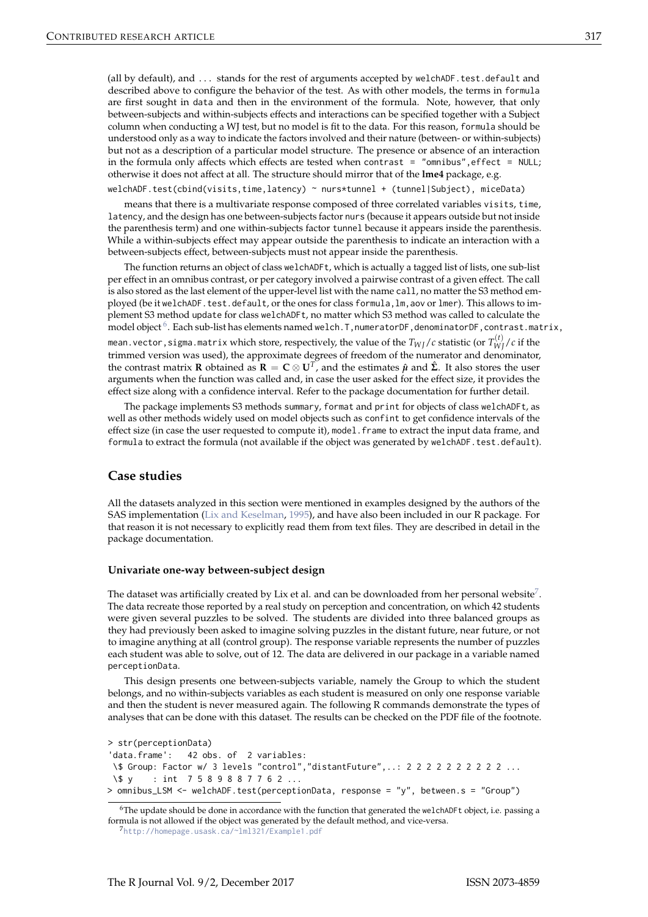(all by default), and ... stands for the rest of arguments accepted by welchADF.test.default and described above to configure the behavior of the test. As with other models, the terms in formula are first sought in data and then in the environment of the formula. Note, however, that only between-subjects and within-subjects effects and interactions can be specified together with a Subject column when conducting a WJ test, but no model is fit to the data. For this reason, formula should be understood only as a way to indicate the factors involved and their nature (between- or within-subjects) but not as a description of a particular model structure. The presence or absence of an interaction in the formula only affects which effects are tested when contrast = "omnibus", effect = NULL; otherwise it does not affect at all. The structure should mirror that of the **lme4** package, e.g.

welchADF.test(cbind(visits,time,latency) ~ nurs\*tunnel + (tunnel|Subject), miceData)

means that there is a multivariate response composed of three correlated variables visits, time, latency, and the design has one between-subjects factor nurs (because it appears outside but not inside the parenthesis term) and one within-subjects factor tunnel because it appears inside the parenthesis. While a within-subjects effect may appear outside the parenthesis to indicate an interaction with a between-subjects effect, between-subjects must not appear inside the parenthesis.

The function returns an object of class welchADFt, which is actually a tagged list of lists, one sub-list per effect in an omnibus contrast, or per category involved a pairwise contrast of a given effect. The call is also stored as the last element of the upper-level list with the name call, no matter the S3 method employed (be it welchADF.test.default, or the ones for class formula, lm, aov or lmer). This allows to implement S3 method update for class welchADFt, no matter which S3 method was called to calculate the  $\rm model$   $\rm object$   $\rm ^6$  . Each sub-list has elements named welch . T, numeratorDF, denominatorDF, contrast  $\rm .$  matrix, mean.vector,sigma.matrix which store, respectively, the value of the  $T_{WJ}/c$  statistic (or  $T_{WJ}^{(t)}/c$  if the trimmed version was used), the approximate degrees of freedom of the numerator and denominator, the contrast matrix **R** obtained as  $\mathbf{R} = \mathbf{C} \otimes \mathbf{U}^T$ , and the estimates  $\hat{\mu}$  and  $\hat{\Sigma}$ . It also stores the user arguments when the function was called and, in case the user asked for the effect size, it provides the effect size along with a confidence interval. Refer to the package documentation for further detail.

The package implements S3 methods summary, format and print for objects of class welchADFt, as well as other methods widely used on model objects such as confint to get confidence intervals of the effect size (in case the user requested to compute it), model.frame to extract the input data frame, and formula to extract the formula (not available if the object was generated by welchADF.test.default).

# **Case studies**

All the datasets analyzed in this section were mentioned in examples designed by the authors of the SAS implementation (Lix and Keselman, 1995), and have also been included in our R package. For that reason it is not necessary to explicitly read them from text files. They are described in detail in the package documentation.

#### **Univariate one-way between-subject design**

The dataset was artificially created by Lix et al. and can be downloaded from her personal website<sup>7</sup>. The data recreate those reported by a real study on perception and concentration, on which 42 students were given several puzzles to be solved. The students are divided into three balanced groups as they had previously been asked to imagine solving puzzles in the distant future, near future, or not to imagine anything at all (control group). The response variable represents the number of puzzles each student was able to solve, out of 12. The data are delivered in our package in a variable named perceptionData.

This design presents one between-subjects variable, namely the Group to which the student belongs, and no within-subjects variables as each student is measured on only one response variable and then the student is never measured again. The following R commands demonstrate the types of analyses that can be done with this dataset. The results can be checked on the PDF file of the footnote.

```
> str(perceptionData)
'data.frame': 42 obs. of 2 variables:
 \$ Group: Factor w/ 3 levels "control","distantFuture",..: 2 2 2 2 2 2 2 2 2 2 ...
\$ y : int 7 5 8 9 8 8 7 7 6 2 ...
> omnibus_LSM <- welchADF.test(perceptionData, response = "y", between.s = "Group")
```
<sup>6</sup>The update should be done in accordance with the function that generated the welchADFt object, i.e. passing a formula is not allowed if the object was generated by the default method, and vice-versa.

<sup>7</sup>http://homepage.usask.ca/~lml321/Example1.pdf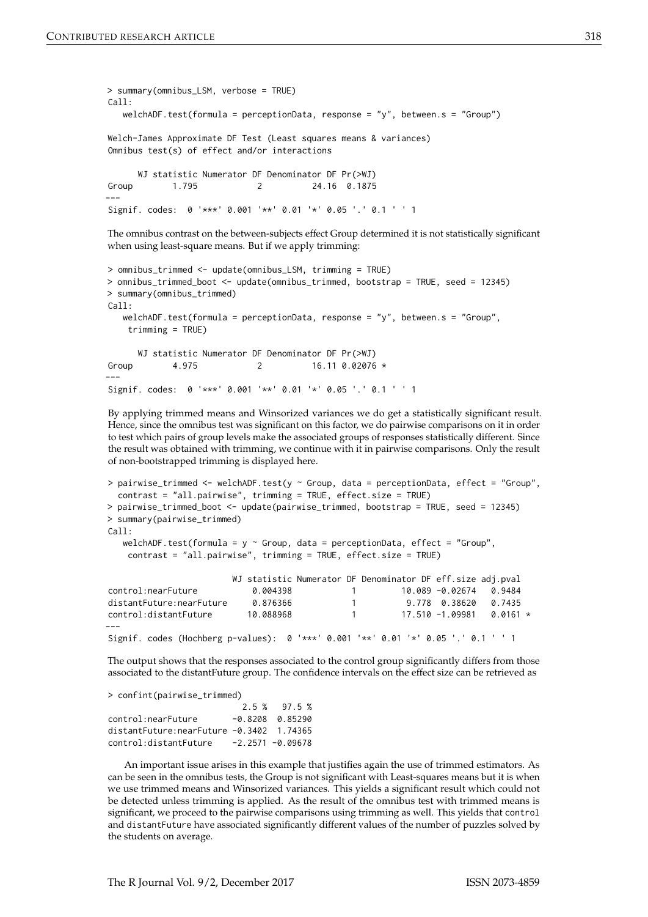```
> summary(omnibus_LSM, verbose = TRUE)
C_{2}11welchADF.test(formula = perceptionData, response = "y", between.s = "Group")
Welch-James Approximate DF Test (Least squares means & variances)
Omnibus test(s) of effect and/or interactions
     WJ statistic Numerator DF Denominator DF Pr(>WJ)
Group 1.795 2 24.16 0.1875
---
Signif. codes: 0 '***' 0.001 '**' 0.01 '*' 0.05 '.' 0.1 ' ' 1
```
The omnibus contrast on the between-subjects effect Group determined it is not statistically significant when using least-square means. But if we apply trimming:

```
> omnibus_trimmed <- update(omnibus_LSM, trimming = TRUE)
> omnibus_trimmed_boot <- update(omnibus_trimmed, bootstrap = TRUE, seed = 12345)
> summary(omnibus_trimmed)
Call:
  welchADF.test(formula = perceptionData, response = "y", between.s = "Group",
    trimming = TRUE)
     WJ statistic Numerator DF Denominator DF Pr(>WJ)
Group 4.975 2 16.11 0.02076 *
---
Signif. codes: 0 '***' 0.001 '**' 0.01 '*' 0.05 '.' 0.1 ' ' 1
```
By applying trimmed means and Winsorized variances we do get a statistically significant result. Hence, since the omnibus test was significant on this factor, we do pairwise comparisons on it in order to test which pairs of group levels make the associated groups of responses statistically different. Since the result was obtained with trimming, we continue with it in pairwise comparisons. Only the result of non-bootstrapped trimming is displayed here.

```
> pairwise_trimmed <- welchADF.test(y ~ Group, data = perceptionData, effect = "Group",
 contrast = "all.pairwise", trimming = TRUE, effect.size = TRUE)
> pairwise_trimmed_boot <- update(pairwise_trimmed, bootstrap = TRUE, seed = 12345)
> summary(pairwise_trimmed)
Call:welchADF.test(formula = y \sim Group, data = perceptionData, effect = "Group",
   contrast = "all.pairwise", trimming = TRUE, effect.size = TRUE)
                      WJ statistic Numerator DF Denominator DF eff.size adj.pval
control:nearFuture 0.004398 1 10.089 -0.02674 0.9484
distantFuture:nearFuture 0.876366 1 9.778 0.38620 0.7435
control:distantFuture 10.088968 1 17.510 -1.09981 0.0161 *
---
Signif. codes (Hochberg p-values): 0 '***' 0.001 '**' 0.01 '*' 0.05 '.' 0.1 ' ' 1
```
The output shows that the responses associated to the control group significantly differs from those associated to the distantFuture group. The confidence intervals on the effect size can be retrieved as

```
> confint(pairwise_trimmed)
```
2.5 % 97.5 % control:nearFuture -0.8208 0.85290 distantFuture:nearFuture -0.3402 1.74365 control:distantFuture -2.2571 -0.09678

An important issue arises in this example that justifies again the use of trimmed estimators. As can be seen in the omnibus tests, the Group is not significant with Least-squares means but it is when we use trimmed means and Winsorized variances. This yields a significant result which could not be detected unless trimming is applied. As the result of the omnibus test with trimmed means is significant, we proceed to the pairwise comparisons using trimming as well. This yields that control and distantFuture have associated significantly different values of the number of puzzles solved by the students on average.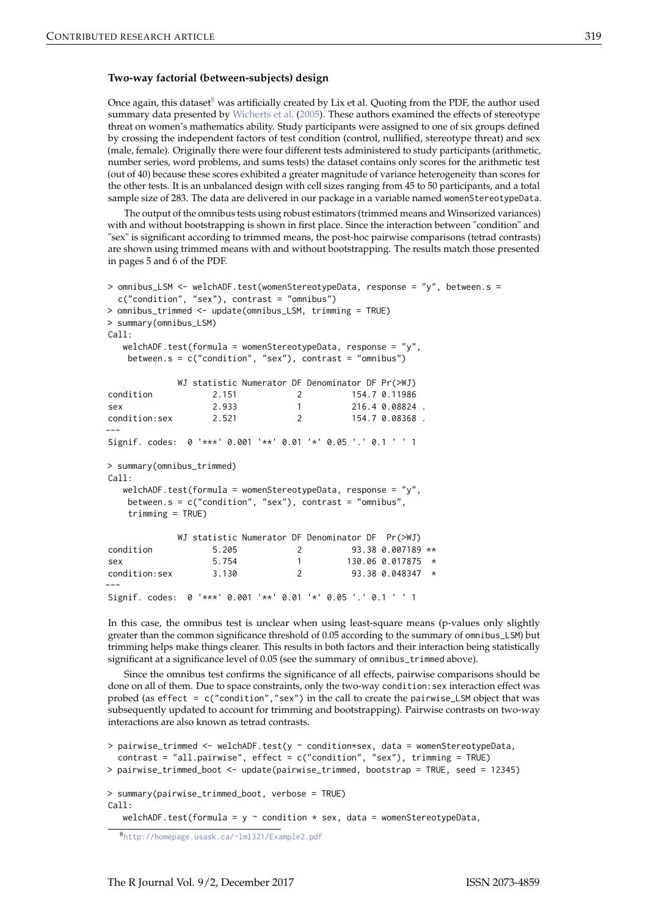### **Two-way factorial (between-subjects) design**

Once again, this dataset $8$  was artificially created by Lix et al. Quoting from the PDF, the author used summary data presented by Wicherts et al. (2005). These authors examined the effects of stereotype threat on women's mathematics ability. Study participants were assigned to one of six groups defined by crossing the independent factors of test condition (control, nullified, stereotype threat) and sex (male, female). Originally there were four different tests administered to study participants (arithmetic, number series, word problems, and sums tests) the dataset contains only scores for the arithmetic test (out of 40) because these scores exhibited a greater magnitude of variance heterogeneity than scores for the other tests. It is an unbalanced design with cell sizes ranging from 45 to 50 participants, and a total sample size of 283. The data are delivered in our package in a variable named womenStereotypeData.

The output of the omnibus tests using robust estimators (trimmed means and Winsorized variances) with and without bootstrapping is shown in first place. Since the interaction between "condition" and "sex" is significant according to trimmed means, the post-hoc pairwise comparisons (tetrad contrasts) are shown using trimmed means with and without bootstrapping. The results match those presented in pages 5 and 6 of the PDF.

```
> omnibus_LSM <- welchADF.test(womenStereotypeData, response = "y", between.s =
 c("condition", "sex"), contrast = "omnibus")
> omnibus_trimmed <- update(omnibus_LSM, trimming = TRUE)
> summary(omnibus_LSM)
Call:welchADF.test(formula = womenStereotypeData, response = "y"
   between.s = c("condition", "sex"), contrast = "omnibus")
           WJ statistic Numerator DF Denominator DF Pr(>WJ)
condition 2.151 2 154.7 0.11986
sex 2.933 1 216.4 0.08824.
condition:sex 2.521 2 154.7 0.08368 .
---
Signif. codes: 0 '***' 0.001 '**' 0.01 '*' 0.05 '.' 0.1 ' ' 1
> summary(omnibus_trimmed)
C_{2}11welchADF.test(formula = womenStereotypeData, response = "y",
   between.s = c("condition", "sex"), contrast = "omnibus",
   trimming = TRUE)
           WJ statistic Numerator DF Denominator DF Pr(>WJ)
condition 5.205 2 93.38 0.007189 **
sex 5.754 1 130.06 0.017875 *
condition:sex 3.130 2 93.38 0.048347 *
---
Signif. codes: 0 '***' 0.001 '**' 0.01 '*' 0.05 '.' 0.1 ' ' 1
```
In this case, the omnibus test is unclear when using least-square means (p-values only slightly greater than the common significance threshold of 0.05 according to the summary of omnibus\_LSM) but trimming helps make things clearer. This results in both factors and their interaction being statistically significant at a significance level of 0.05 (see the summary of omnibus\_trimmed above).

Since the omnibus test confirms the significance of all effects, pairwise comparisons should be done on all of them. Due to space constraints, only the two-way condition: sex interaction effect was probed (as effect = c("condition","sex") in the call to create the pairwise\_LSM object that was subsequently updated to account for trimming and bootstrapping). Pairwise contrasts on two-way interactions are also known as tetrad contrasts.

```
> pairwise_trimmed <- welchADF.test(y ~ condition*sex, data = womenStereotypeData,
  contrast = "all.pairwise", effect = c("condition", "sex"), trimming = TRUE)
> pairwise_trimmed_boot <- update(pairwise_trimmed, bootstrap = TRUE, seed = 12345)
> summary(pairwise_trimmed_boot, verbose = TRUE)
C_{2}11welchADF.test(formula = y \sim condition * sex, data = womenStereotypeData,
```
<sup>8</sup>http://homepage.usask.ca/~lml321/Example2.pdf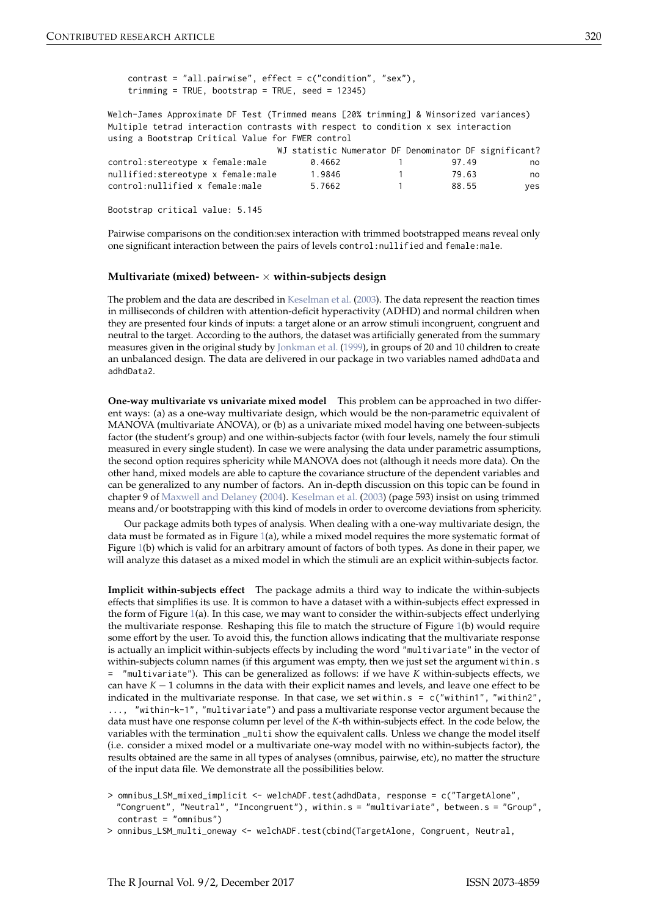contrast = "all.pairwise", effect = c("condition", "sex"), trimming = TRUE, bootstrap = TRUE, seed =  $12345$ )

Welch-James Approximate DF Test (Trimmed means [20% trimming] & Winsorized variances) Multiple tetrad interaction contrasts with respect to condition x sex interaction using a Bootstrap Critical Value for FWER control

|                                    |        | WJ statistic Numerator DF Denominator DF significant? |       |     |
|------------------------------------|--------|-------------------------------------------------------|-------|-----|
| control:stereotype x female:male   | 0.4662 |                                                       | 9749  | no  |
| nullified:stereotype x female:male | 1.9846 |                                                       | 79.63 | no  |
| control:nullified x female:male    | 5.7662 |                                                       | 88.55 | ves |

Bootstrap critical value: 5.145

Pairwise comparisons on the condition:sex interaction with trimmed bootstrapped means reveal only one significant interaction between the pairs of levels control:nullified and female:male.

#### **Multivariate (mixed) between-** × **within-subjects design**

The problem and the data are described in Keselman et al. (2003). The data represent the reaction times in milliseconds of children with attention-deficit hyperactivity (ADHD) and normal children when they are presented four kinds of inputs: a target alone or an arrow stimuli incongruent, congruent and neutral to the target. According to the authors, the dataset was artificially generated from the summary measures given in the original study by Jonkman et al. (1999), in groups of 20 and 10 children to create an unbalanced design. The data are delivered in our package in two variables named adhdData and adhdData2.

**One-way multivariate vs univariate mixed model** This problem can be approached in two different ways: (a) as a one-way multivariate design, which would be the non-parametric equivalent of MANOVA (multivariate ANOVA), or (b) as a univariate mixed model having one between-subjects factor (the student's group) and one within-subjects factor (with four levels, namely the four stimuli measured in every single student). In case we were analysing the data under parametric assumptions, the second option requires sphericity while MANOVA does not (although it needs more data). On the other hand, mixed models are able to capture the covariance structure of the dependent variables and can be generalized to any number of factors. An in-depth discussion on this topic can be found in chapter 9 of Maxwell and Delaney (2004). Keselman et al. (2003) (page 593) insist on using trimmed means and/or bootstrapping with this kind of models in order to overcome deviations from sphericity.

Our package admits both types of analysis. When dealing with a one-way multivariate design, the data must be formated as in Figure  $1(a)$ , while a mixed model requires the more systematic format of Figure 1(b) which is valid for an arbitrary amount of factors of both types. As done in their paper, we will analyze this dataset as a mixed model in which the stimuli are an explicit within-subjects factor.

**Implicit within-subjects effect** The package admits a third way to indicate the within-subjects effects that simplifies its use. It is common to have a dataset with a within-subjects effect expressed in the form of Figure 1(a). In this case, we may want to consider the within-subjects effect underlying the multivariate response. Reshaping this file to match the structure of Figure 1(b) would require some effort by the user. To avoid this, the function allows indicating that the multivariate response is actually an implicit within-subjects effects by including the word "multivariate" in the vector of within-subjects column names (if this argument was empty, then we just set the argument within.s = "multivariate"). This can be generalized as follows: if we have *K* within-subjects effects, we can have *K* − 1 columns in the data with their explicit names and levels, and leave one effect to be indicated in the multivariate response. In that case, we set within.s = c("within1", "within2", ..., "within-k-1", "multivariate") and pass a multivariate response vector argument because the data must have one response column per level of the *K*-th within-subjects effect. In the code below, the variables with the termination \_multi show the equivalent calls. Unless we change the model itself (i.e. consider a mixed model or a multivariate one-way model with no within-subjects factor), the results obtained are the same in all types of analyses (omnibus, pairwise, etc), no matter the structure of the input data file. We demonstrate all the possibilities below.

> omnibus\_LSM\_mixed\_implicit <- welchADF.test(adhdData, response = c("TargetAlone", "Congruent", "Neutral", "Incongruent"), within.s = "multivariate", between.s = "Group", contrast = "omnibus")

> omnibus\_LSM\_multi\_oneway <- welchADF.test(cbind(TargetAlone, Congruent, Neutral,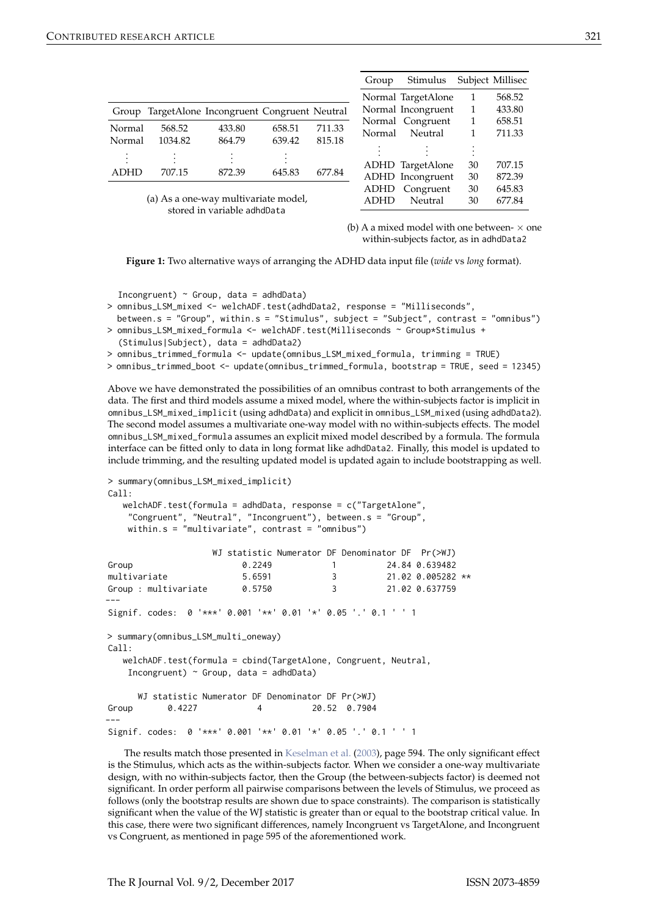|             |         |                                           |        |        | Group       | Stimulus           |    | Subject Millisec |
|-------------|---------|-------------------------------------------|--------|--------|-------------|--------------------|----|------------------|
|             |         |                                           |        |        |             | Normal TargetAlone |    | 568.52           |
| Group       |         | TargetAlone Incongruent Congruent Neutral |        |        |             | Normal Incongruent |    | 433.80           |
|             |         |                                           |        |        |             | Normal Congruent   |    | 658.51           |
| Normal      | 568.52  | 433.80                                    | 658.51 | 711.33 | Normal      | Neutral            |    | 711.33           |
| Normal      | 1034.82 | 864.79                                    | 639.42 | 815.18 |             |                    |    |                  |
|             |         |                                           |        |        |             |                    |    |                  |
|             |         |                                           |        |        |             |                    |    |                  |
|             |         |                                           |        |        |             | ADHD TargetAlone   | 30 | 707.15           |
| <b>ADHD</b> | 707.15  | 872.39                                    | 645.83 | 677.84 |             | ADHD Incongruent   | 30 | 872.39           |
|             |         |                                           |        |        | ADHD        | Congruent          | 30 | 645.83           |
|             |         | (a) As a one-way multivariate model,      |        |        | <b>ADHD</b> | Neutral            | 30 | 677.84           |

stored in variable adhdData

(b) A a mixed model with one between- $\times$  one within-subjects factor, as in adhdData2

**Figure 1:** Two alternative ways of arranging the ADHD data input file (*wide* vs *long* format).

Incongruent)  $\sim$  Group, data = adhdData)

```
> omnibus_LSM_mixed <- welchADF.test(adhdData2, response = "Milliseconds",
 between.s = "Group", within.s = "Stimulus", subject = "Subject", contrast = "omnibus")
> omnibus_LSM_mixed_formula <- welchADF.test(Milliseconds ~ Group*Stimulus +
```
(Stimulus|Subject), data = adhdData2)

> omnibus\_trimmed\_formula <- update(omnibus\_LSM\_mixed\_formula, trimming = TRUE)

> omnibus\_trimmed\_boot <- update(omnibus\_trimmed\_formula, bootstrap = TRUE, seed = 12345)

Above we have demonstrated the possibilities of an omnibus contrast to both arrangements of the data. The first and third models assume a mixed model, where the within-subjects factor is implicit in omnibus\_LSM\_mixed\_implicit (using adhdData) and explicit in omnibus\_LSM\_mixed (using adhdData2). The second model assumes a multivariate one-way model with no within-subjects effects. The model omnibus\_LSM\_mixed\_formula assumes an explicit mixed model described by a formula. The formula interface can be fitted only to data in long format like adhdData2. Finally, this model is updated to include trimming, and the resulting updated model is updated again to include bootstrapping as well.

```
> summary(omnibus_LSM_mixed_implicit)
C<sub>A</sub>11.
```

```
welchADF.test(formula = adhdData, response = c("TargetAlone",
 "Congruent", "Neutral", "Incongruent"), between.s = "Group",
 within.s = "multivariate", contrast = "omnibus")
```

|                                                                           | WJ statistic Numerator DF Denominator DF Pr(>WJ) |                  |                     |  |
|---------------------------------------------------------------------------|--------------------------------------------------|------------------|---------------------|--|
| Group                                                                     | 0.2249                                           | $1 \quad \cdots$ | 24.84 0.639482      |  |
| multivariate                                                              | 5.6591                                           | $3^{\circ}$      | $21.02$ 0.005282 ** |  |
| Group : multivariate                                                      | 0.5750                                           | 3                | 21.02 0.637759      |  |
|                                                                           |                                                  |                  |                     |  |
| Signif. codes: 0 '***' 0.001 '**' 0.01 '*' 0.05 '.' 0.1 ' ' 1             |                                                  |                  |                     |  |
| > summary(omnibus_LSM_multi_oneway)                                       |                                                  |                  |                     |  |
| Call:                                                                     |                                                  |                  |                     |  |
| welchADF.test(formula = cbind( $\text{TargetAlone}$ , Congruent, Neutral, |                                                  |                  |                     |  |
| Incongruent) $\sim$ Group, data = adhdData)                               |                                                  |                  |                     |  |
|                                                                           |                                                  |                  |                     |  |
| WJ statistic Numerator DF Denominator DF Pr(>WJ)                          |                                                  |                  |                     |  |
| 0.4227<br>Group                                                           | 4                                                | 20.52 0.7904     |                     |  |
|                                                                           |                                                  |                  |                     |  |
|                                                                           |                                                  |                  |                     |  |

Signif. codes: 0 '\*\*\*' 0.001 '\*\*' 0.01 '\*' 0.05 '.' 0.1 ' ' 1

The results match those presented in Keselman et al. (2003), page 594. The only significant effect is the Stimulus, which acts as the within-subjects factor. When we consider a one-way multivariate design, with no within-subjects factor, then the Group (the between-subjects factor) is deemed not significant. In order perform all pairwise comparisons between the levels of Stimulus, we proceed as follows (only the bootstrap results are shown due to space constraints). The comparison is statistically significant when the value of the WJ statistic is greater than or equal to the bootstrap critical value. In this case, there were two significant differences, namely Incongruent vs TargetAlone, and Incongruent vs Congruent, as mentioned in page 595 of the aforementioned work.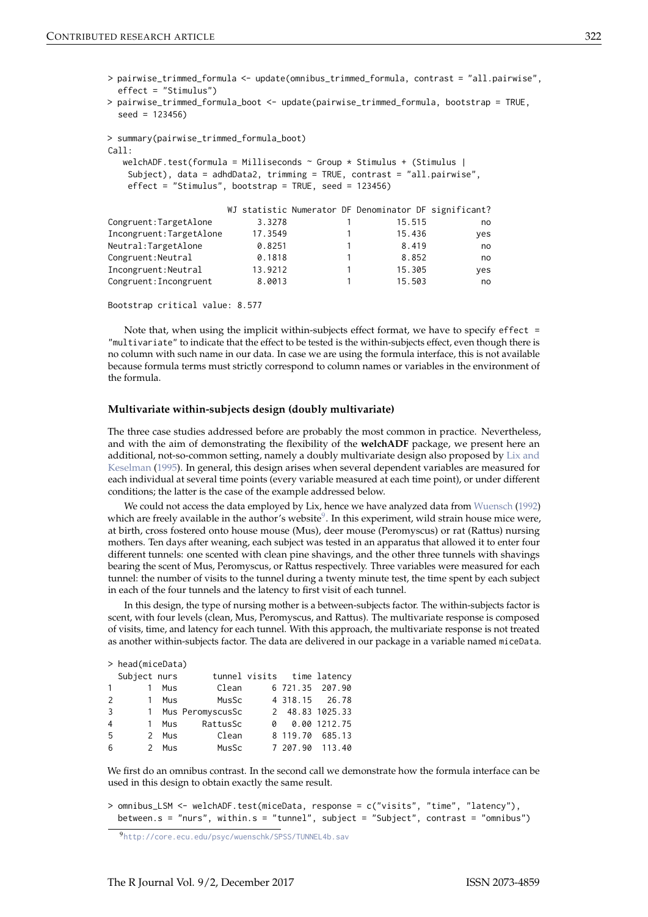> pairwise\_trimmed\_formula <- update(omnibus\_trimmed\_formula, contrast = "all.pairwise", effect = "Stimulus")

```
> pairwise_trimmed_formula_boot <- update(pairwise_trimmed_formula, bootstrap = TRUE,
  seed = 123456)
```

```
> summary(pairwise_trimmed_formula_boot)
C<sub>a</sub>11.
   welchADF.test(formula = Milliseconds \sim Group * Stimulus + (Stimulus |
    Subject), data = adhdData2, trimming = TRUE, contrast = "all.pairwise",
    effect = "Stimulus", bootstrap = TRUE, seed = 123456)
                         WJ statistic Numerator DF Denominator DF significant?
```

|                          |         |  |        |       | WE STATISTIC MUMBER ALOR DE DEMOMINATOR DE SIGNIFICANTE? |
|--------------------------|---------|--|--------|-------|----------------------------------------------------------|
| Congruent: TargetAlone   | 3.3278  |  | 15.515 |       | no                                                       |
| Incongruent: TargetAlone | 17.3549 |  | 15.436 |       | yes                                                      |
| Neutral: TargetAlone     | 0.8251  |  |        | 8.419 | no                                                       |
| Congruent: Neutral       | 0.1818  |  |        | 8.852 | no                                                       |
| Incongruent: Neutral     | 13.9212 |  | 15.305 |       | yes                                                      |
| Congruent: Incongruent   | 8.0013  |  | 15.503 |       | no                                                       |
|                          |         |  |        |       |                                                          |

```
Bootstrap critical value: 8.577
```
Note that, when using the implicit within-subjects effect format, we have to specify effect  $=$ "multivariate" to indicate that the effect to be tested is the within-subjects effect, even though there is no column with such name in our data. In case we are using the formula interface, this is not available because formula terms must strictly correspond to column names or variables in the environment of the formula.

#### **Multivariate within-subjects design (doubly multivariate)**

The three case studies addressed before are probably the most common in practice. Nevertheless, and with the aim of demonstrating the flexibility of the **welchADF** package, we present here an additional, not-so-common setting, namely a doubly multivariate design also proposed by Lix and Keselman (1995). In general, this design arises when several dependent variables are measured for each individual at several time points (every variable measured at each time point), or under different conditions; the latter is the case of the example addressed below.

We could not access the data employed by Lix, hence we have analyzed data from Wuensch (1992) which are freely available in the author's website $^9$ . In this experiment, wild strain house mice were, at birth, cross fostered onto house mouse (Mus), deer mouse (Peromyscus) or rat (Rattus) nursing mothers. Ten days after weaning, each subject was tested in an apparatus that allowed it to enter four different tunnels: one scented with clean pine shavings, and the other three tunnels with shavings bearing the scent of Mus, Peromyscus, or Rattus respectively. Three variables were measured for each tunnel: the number of visits to the tunnel during a twenty minute test, the time spent by each subject in each of the four tunnels and the latency to first visit of each tunnel.

In this design, the type of nursing mother is a between-subjects factor. The within-subjects factor is scent, with four levels (clean, Mus, Peromyscus, and Rattus). The multivariate response is composed of visits, time, and latency for each tunnel. With this approach, the multivariate response is not treated as another within-subjects factor. The data are delivered in our package in a variable named miceData.

|                | > head(miceData) |     |                    |   |  |                            |  |  |
|----------------|------------------|-----|--------------------|---|--|----------------------------|--|--|
|                | Subject nurs     |     |                    |   |  | tunnel visits time latency |  |  |
| $\mathbf{1}$   | $\overline{1}$   | Mus | Clean              |   |  | 6 721.35 207.90            |  |  |
| 2              | $\overline{1}$   | Mus | MusSc              |   |  | 4 318.15 26.78             |  |  |
| 3              |                  |     | 1 Mus PeromyscusSc |   |  | 2 48.83 1025.33            |  |  |
| $\overline{4}$ | $\mathbf{1}$     | Mus | RattusSc           | 0 |  | 0.00 1212.75               |  |  |
| 5              | 2                | Mus | Clean              |   |  | 8 119.70 685.13            |  |  |
| 6              | $\mathcal{P}$    | Mus | MusSc              |   |  | 7 207.90 113.40            |  |  |

We first do an omnibus contrast. In the second call we demonstrate how the formula interface can be used in this design to obtain exactly the same result.

```
> omnibus_LSM <- welchADF.test(miceData, response = c("visits", "time", "latency"),
 between.s = "nurs", within.s = "tunnel", subject = "Subject", contrast = "omnibus")
```
<sup>9</sup>http://core.ecu.edu/psyc/wuenschk/SPSS/TUNNEL4b.sav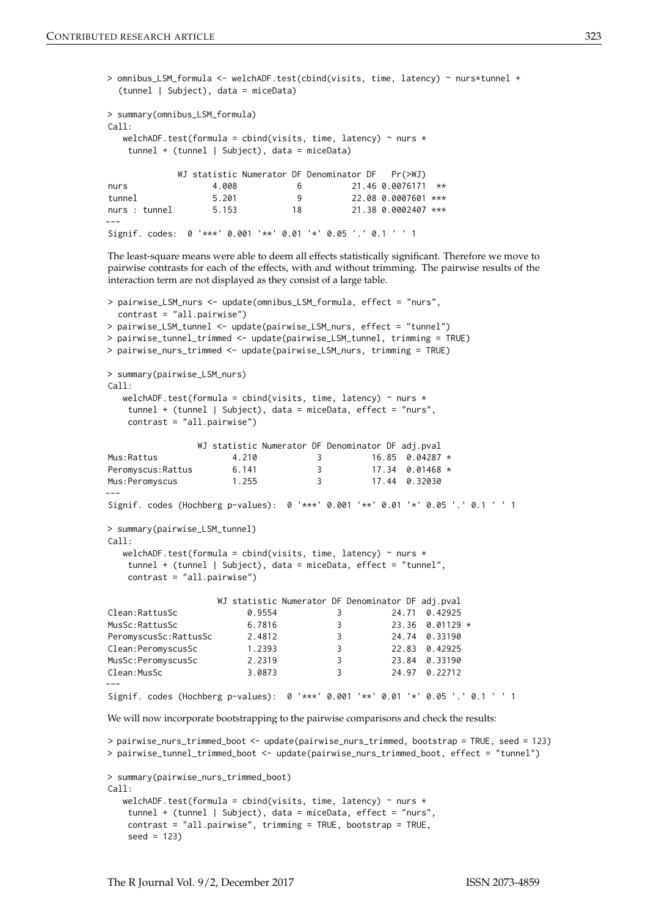```
> omnibus_LSM_formula <- welchADF.test(cbind(visits, time, latency) ~ nurs*tunnel +
  (tunnel | Subject), data = miceData)
> summary(omnibus_LSM_formula)
Ca11:welchADF.test(formula = cbind(visits, time, latency) \sim nurs \startunnel + (tunnel | Subject), data = miceData)
             WJ statistic Numerator DF Denominator DF Pr(>WJ)
nurs 4.008 6 21.46 0.0076171 **
tunnel 5.201 9 22.08 0.0007601 ***<br>nurs : tunnel 5.153 18 21.38 0.0002407 ***
nurs : tunnel 5.153 18 21.38 0.0002407 ***
---
Signif. codes: 0 '***' 0.001 '**' 0.01 '*' 0.05 '.' 0.1 ' ' 1
```
The least-square means were able to deem all effects statistically significant. Therefore we move to pairwise contrasts for each of the effects, with and without trimming. The pairwise results of the interaction term are not displayed as they consist of a large table.

```
> pairwise_LSM_nurs <- update(omnibus_LSM_formula, effect = "nurs",
 contrast = "all.pairwise")
> pairwise_LSM_tunnel <- update(pairwise_LSM_nurs, effect = "tunnel")
> pairwise_tunnel_trimmed <- update(pairwise_LSM_tunnel, trimming = TRUE)
> pairwise_nurs_trimmed <- update(pairwise_LSM_nurs, trimming = TRUE)
> summary(pairwise_LSM_nurs)
Call:welchADF.test(formula = cbind(visits, time, latency) \sim nurs \startunnel + (tunnel | Subject), data = miceData, effect = "nurs",
   contrast = "all.pairwise")
                WJ statistic Numerator DF Denominator DF adj.pval
Mus:Rattus 4.210 3 16.85 0.04287 *
Peromyscus:Rattus 6.141 3 17.34 0.01468 *
Mus:Peromyscus 1.255 3 17.44 0.32030
---
Signif. codes (Hochberg p-values): 0 '***' 0.001 '**' 0.01 '*' 0.05 '.' 0.1 ' ' 1
> summary(pairwise_LSM_tunnel)
Call:
  welchADF.test(formula = cbind(visits, time, latency) \sim nurs *tunnel + (tunnel | Subject), data = miceData, effect = "tunnel",
   contrast = "all.pairwise")
                   WJ statistic Numerator DF Denominator DF adj.pval
Clean:RattusSc 0.9554 3 24.71 0.42925
MusSc:RattusSc 6.7816 3 23.36 0.01129 *
PeromyscusSc:RattusSc 2.4812
Clean:PeromyscusSc 1.2393 3 22.83 0.42925
MusSc:PeromyscusSc 2.2319 3 23.84 0.33190
Clean:MusSc 3.0873 3 24.97 0.22712
---
Signif. codes (Hochberg p-values): 0 '***' 0.001 '**' 0.01 '*' 0.05 '.' 0.1 ' ' 1
We will now incorporate bootstrapping to the pairwise comparisons and check the results:
> pairwise_nurs_trimmed_boot <- update(pairwise_nurs_trimmed, bootstrap = TRUE, seed = 123)
> pairwise_tunnel_trimmed_boot <- update(pairwise_nurs_trimmed_boot, effect = "tunnel")
> summary(pairwise_nurs_trimmed_boot)
Call:
  welchADF.test(formula = cbind(visits, time, latency) \sim nurs \startunnel + (tunnel | Subject), data = miceData, effect = "nurs",
   contrast = "all.pairwise", trimming = TRUE, bootstrap = TRUE,
```
seed = 123)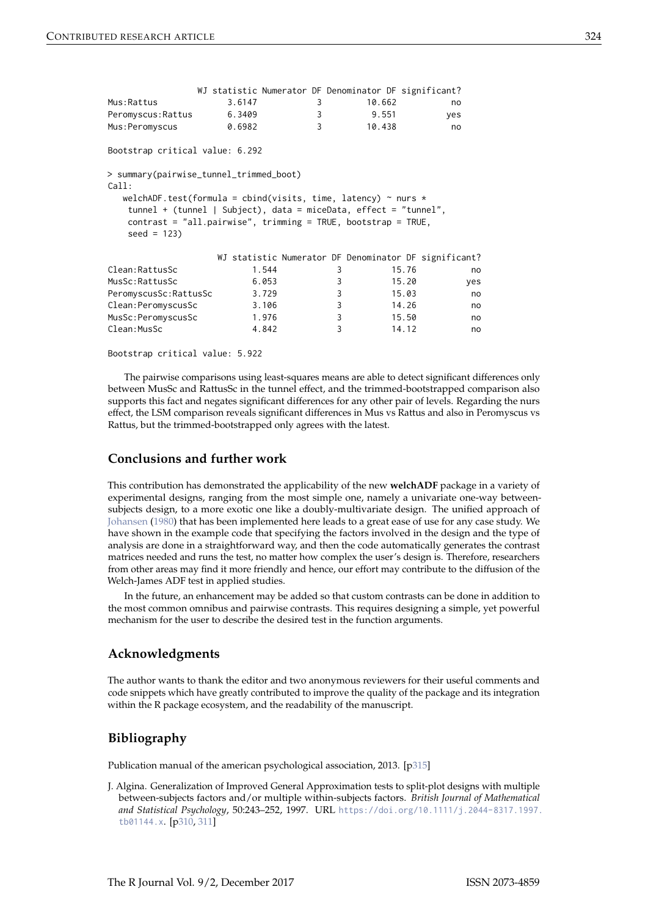|                                                                                                                                                                                                                                                                                     | WJ statistic Numerator DF Denominator DF significant? |   |        |                                                       |
|-------------------------------------------------------------------------------------------------------------------------------------------------------------------------------------------------------------------------------------------------------------------------------------|-------------------------------------------------------|---|--------|-------------------------------------------------------|
| Mus:Rattus                                                                                                                                                                                                                                                                          | 3.6147                                                | 3 | 10.662 | no                                                    |
| Peromyscus: Rattus                                                                                                                                                                                                                                                                  | 6.3409                                                | 3 | 9.551  | yes                                                   |
| Mus: Peromyscus                                                                                                                                                                                                                                                                     | 0.6982                                                | 3 | 10.438 | no                                                    |
| Bootstrap critical value: 6.292                                                                                                                                                                                                                                                     |                                                       |   |        |                                                       |
| > summary(pairwise_tunnel_trimmed_boot)<br>Call:<br>welchADF.test(formula = cbind(visits, time, latency) $\sim$ nurs $\star$<br>tunnel + (tunnel   Subject), data = miceData, effect = "tunnel",<br>contrast = $"all.pairwise", trimming = TRUE, bootstrap = TRUE,$<br>$seed = 123$ |                                                       |   |        |                                                       |
|                                                                                                                                                                                                                                                                                     |                                                       |   |        | WJ statistic Numerator DF Denominator DF significant? |
| Clean: RattusSc                                                                                                                                                                                                                                                                     | 1.544                                                 | 3 | 15.76  | no                                                    |
| MusSc: RattusSc                                                                                                                                                                                                                                                                     | 6.053                                                 | 3 |        | 15.20<br>yes                                          |
| PeromyscusSc:RattusSc                                                                                                                                                                                                                                                               | 3.729                                                 | 3 | 15.03  | no                                                    |
| Clean: PeromyscusSc                                                                                                                                                                                                                                                                 | 3.106                                                 | 3 | 14.26  | no                                                    |
| MusSc:PeromyscusSc                                                                                                                                                                                                                                                                  | 1.976                                                 | 3 | 15.50  | no                                                    |
| Clean: MusSc                                                                                                                                                                                                                                                                        | 4.842                                                 | 3 | 14.12  | no                                                    |

Bootstrap critical value: 5.922

The pairwise comparisons using least-squares means are able to detect significant differences only between MusSc and RattusSc in the tunnel effect, and the trimmed-bootstrapped comparison also supports this fact and negates significant differences for any other pair of levels. Regarding the nurs effect, the LSM comparison reveals significant differences in Mus vs Rattus and also in Peromyscus vs Rattus, but the trimmed-bootstrapped only agrees with the latest.

# **Conclusions and further work**

This contribution has demonstrated the applicability of the new **welchADF** package in a variety of experimental designs, ranging from the most simple one, namely a univariate one-way betweensubjects design, to a more exotic one like a doubly-multivariate design. The unified approach of Johansen (1980) that has been implemented here leads to a great ease of use for any case study. We have shown in the example code that specifying the factors involved in the design and the type of analysis are done in a straightforward way, and then the code automatically generates the contrast matrices needed and runs the test, no matter how complex the user's design is. Therefore, researchers from other areas may find it more friendly and hence, our effort may contribute to the diffusion of the Welch-James ADF test in applied studies.

In the future, an enhancement may be added so that custom contrasts can be done in addition to the most common omnibus and pairwise contrasts. This requires designing a simple, yet powerful mechanism for the user to describe the desired test in the function arguments.

## **Acknowledgments**

The author wants to thank the editor and two anonymous reviewers for their useful comments and code snippets which have greatly contributed to improve the quality of the package and its integration within the R package ecosystem, and the readability of the manuscript.

# **Bibliography**

Publication manual of the american psychological association, 2013. [p315]

J. Algina. Generalization of Improved General Approximation tests to split-plot designs with multiple between-subjects factors and/or multiple within-subjects factors. *British Journal of Mathematical and Statistical Psychology*, 50:243–252, 1997. URL https://doi.org/10.1111/j.2044-8317.1997. tb01144.x. [p310, 311]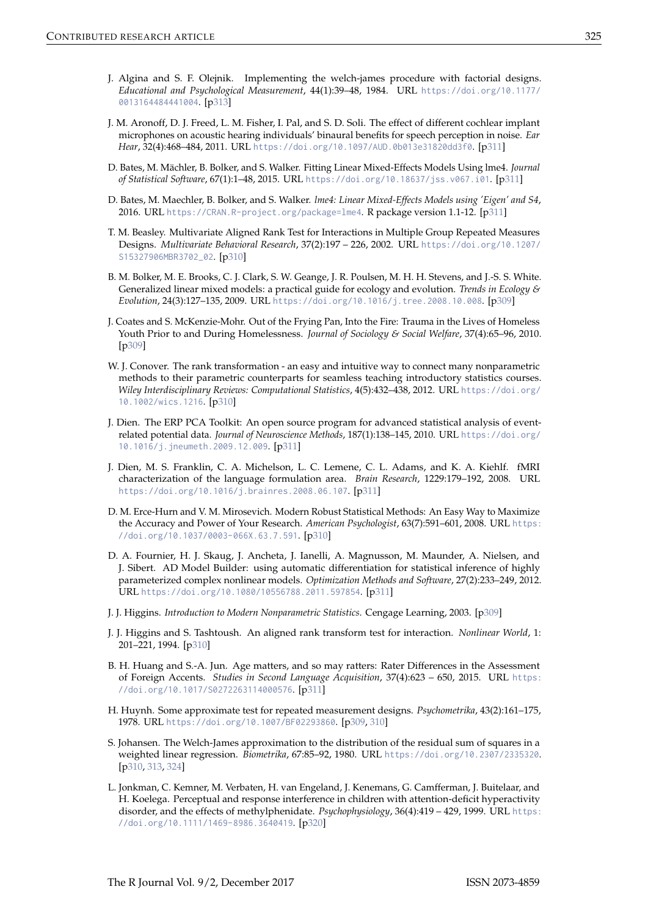- J. Algina and S. F. Olejnik. Implementing the welch-james procedure with factorial designs. *Educational and Psychological Measurement*, 44(1):39–48, 1984. URL https://doi.org/10.1177/ 0013164484441004. [p313]
- J. M. Aronoff, D. J. Freed, L. M. Fisher, I. Pal, and S. D. Soli. The effect of different cochlear implant microphones on acoustic hearing individuals' binaural benefits for speech perception in noise. *Ear Hear*, 32(4):468–484, 2011. URL https://doi.org/10.1097/AUD.0b013e31820dd3f0. [p311]
- D. Bates, M. Mächler, B. Bolker, and S. Walker. Fitting Linear Mixed-Effects Models Using lme4. *Journal of Statistical Software*, 67(1):1–48, 2015. URL https://doi.org/10.18637/jss.v067.i01. [p311]
- D. Bates, M. Maechler, B. Bolker, and S. Walker. *lme4: Linear Mixed-Effects Models using 'Eigen' and S4*, 2016. URL https://CRAN.R-project.org/package=lme4. R package version 1.1-12. [p311]
- T. M. Beasley. Multivariate Aligned Rank Test for Interactions in Multiple Group Repeated Measures Designs. *Multivariate Behavioral Research*, 37(2):197 – 226, 2002. URL https://doi.org/10.1207/ S15327906MBR3702\_02. [p310]
- B. M. Bolker, M. E. Brooks, C. J. Clark, S. W. Geange, J. R. Poulsen, M. H. H. Stevens, and J.-S. S. White. Generalized linear mixed models: a practical guide for ecology and evolution. *Trends in Ecology & Evolution*, 24(3):127–135, 2009. URL https://doi.org/10.1016/j.tree.2008.10.008. [p309]
- J. Coates and S. McKenzie-Mohr. Out of the Frying Pan, Into the Fire: Trauma in the Lives of Homeless Youth Prior to and During Homelessness. *Journal of Sociology & Social Welfare*, 37(4):65–96, 2010. [p309]
- W. J. Conover. The rank transformation an easy and intuitive way to connect many nonparametric methods to their parametric counterparts for seamless teaching introductory statistics courses. *Wiley Interdisciplinary Reviews: Computational Statistics*, 4(5):432–438, 2012. URL https://doi.org/ 10.1002/wics.1216. [p310]
- J. Dien. The ERP PCA Toolkit: An open source program for advanced statistical analysis of eventrelated potential data. *Journal of Neuroscience Methods*, 187(1):138–145, 2010. URL https://doi.org/ 10.1016/j.jneumeth.2009.12.009. [p311]
- J. Dien, M. S. Franklin, C. A. Michelson, L. C. Lemene, C. L. Adams, and K. A. Kiehlf. fMRI characterization of the language formulation area. *Brain Research*, 1229:179–192, 2008. URL https://doi.org/10.1016/j.brainres.2008.06.107. [p311]
- D. M. Erce-Hurn and V. M. Mirosevich. Modern Robust Statistical Methods: An Easy Way to Maximize the Accuracy and Power of Your Research. *American Psychologist*, 63(7):591–601, 2008. URL https: //doi.org/10.1037/0003-066X.63.7.591. [p310]
- D. A. Fournier, H. J. Skaug, J. Ancheta, J. Ianelli, A. Magnusson, M. Maunder, A. Nielsen, and J. Sibert. AD Model Builder: using automatic differentiation for statistical inference of highly parameterized complex nonlinear models. *Optimization Methods and Software*, 27(2):233–249, 2012. URL https://doi.org/10.1080/10556788.2011.597854. [p311]
- J. J. Higgins. *Introduction to Modern Nonparametric Statistics*. Cengage Learning, 2003. [p309]
- J. J. Higgins and S. Tashtoush. An aligned rank transform test for interaction. *Nonlinear World*, 1: 201–221, 1994. [p310]
- B. H. Huang and S.-A. Jun. Age matters, and so may ratters: Rater Differences in the Assessment of Foreign Accents. *Studies in Second Language Acquisition*, 37(4):623 – 650, 2015. URL https: //doi.org/10.1017/S0272263114000576. [p311]
- H. Huynh. Some approximate test for repeated measurement designs. *Psychometrika*, 43(2):161–175, 1978. URL https://doi.org/10.1007/BF02293860. [p309, 310]
- S. Johansen. The Welch-James approximation to the distribution of the residual sum of squares in a weighted linear regression. *Biometrika*, 67:85–92, 1980. URL https://doi.org/10.2307/2335320. [p310, 313, 324]
- L. Jonkman, C. Kemner, M. Verbaten, H. van Engeland, J. Kenemans, G. Camfferman, J. Buitelaar, and H. Koelega. Perceptual and response interference in children with attention-deficit hyperactivity disorder, and the effects of methylphenidate. *Psychophysiology*, 36(4):419 – 429, 1999. URL https: //doi.org/10.1111/1469-8986.3640419. [p320]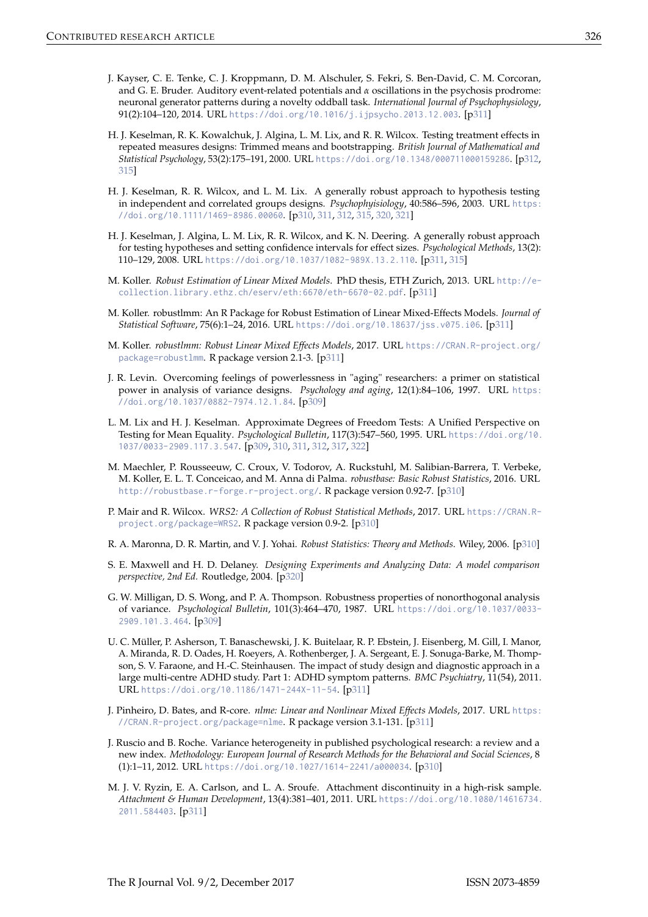- J. Kayser, C. E. Tenke, C. J. Kroppmann, D. M. Alschuler, S. Fekri, S. Ben-David, C. M. Corcoran, and G. E. Bruder. Auditory event-related potentials and *α* oscillations in the psychosis prodrome: neuronal generator patterns during a novelty oddball task. *International Journal of Psychophysiology*, 91(2):104–120, 2014. URL https://doi.org/10.1016/j.ijpsycho.2013.12.003. [p311]
- H. J. Keselman, R. K. Kowalchuk, J. Algina, L. M. Lix, and R. R. Wilcox. Testing treatment effects in repeated measures designs: Trimmed means and bootstrapping. *British Journal of Mathematical and Statistical Psychology*, 53(2):175–191, 2000. URL https://doi.org/10.1348/000711000159286. [p312, 315]
- H. J. Keselman, R. R. Wilcox, and L. M. Lix. A generally robust approach to hypothesis testing in independent and correlated groups designs. *Psychophyisiology*, 40:586–596, 2003. URL https: //doi.org/10.1111/1469-8986.00060. [p310, 311, 312, 315, 320, 321]
- H. J. Keselman, J. Algina, L. M. Lix, R. R. Wilcox, and K. N. Deering. A generally robust approach for testing hypotheses and setting confidence intervals for effect sizes. *Psychological Methods*, 13(2): 110–129, 2008. URL https://doi.org/10.1037/1082-989X.13.2.110. [p311, 315]
- M. Koller. *Robust Estimation of Linear Mixed Models*. PhD thesis, ETH Zurich, 2013. URL http://ecollection.library.ethz.ch/eserv/eth:6670/eth-6670-02.pdf. [p311]
- M. Koller. robustlmm: An R Package for Robust Estimation of Linear Mixed-Effects Models. *Journal of Statistical Software*, 75(6):1–24, 2016. URL https://doi.org/10.18637/jss.v075.i06. [p311]
- M. Koller. *robustlmm: Robust Linear Mixed Effects Models*, 2017. URL https://CRAN.R-project.org/ package=robustlmm. R package version 2.1-3. [p311]
- J. R. Levin. Overcoming feelings of powerlessness in "aging" researchers: a primer on statistical power in analysis of variance designs. *Psychology and aging*, 12(1):84–106, 1997. URL https: //doi.org/10.1037/0882-7974.12.1.84. [p309]
- L. M. Lix and H. J. Keselman. Approximate Degrees of Freedom Tests: A Unified Perspective on Testing for Mean Equality. *Psychological Bulletin*, 117(3):547–560, 1995. URL https://doi.org/10. 1037/0033-2909.117.3.547. [p309, 310, 311, 312, 317, 322]
- M. Maechler, P. Rousseeuw, C. Croux, V. Todorov, A. Ruckstuhl, M. Salibian-Barrera, T. Verbeke, M. Koller, E. L. T. Conceicao, and M. Anna di Palma. *robustbase: Basic Robust Statistics*, 2016. URL http://robustbase.r-forge.r-project.org/. R package version 0.92-7. [p310]
- P. Mair and R. Wilcox. *WRS2: A Collection of Robust Statistical Methods*, 2017. URL https://CRAN.Rproject.org/package=WRS2. R package version 0.9-2. [p310]
- R. A. Maronna, D. R. Martin, and V. J. Yohai. *Robust Statistics: Theory and Methods*. Wiley, 2006. [p310]
- S. E. Maxwell and H. D. Delaney. *Designing Experiments and Analyzing Data: A model comparison perspective, 2nd Ed.* Routledge, 2004. [p320]
- G. W. Milligan, D. S. Wong, and P. A. Thompson. Robustness properties of nonorthogonal analysis of variance. *Psychological Bulletin*, 101(3):464–470, 1987. URL https://doi.org/10.1037/0033- 2909.101.3.464. [p309]
- U. C. Müller, P. Asherson, T. Banaschewski, J. K. Buitelaar, R. P. Ebstein, J. Eisenberg, M. Gill, I. Manor, A. Miranda, R. D. Oades, H. Roeyers, A. Rothenberger, J. A. Sergeant, E. J. Sonuga-Barke, M. Thompson, S. V. Faraone, and H.-C. Steinhausen. The impact of study design and diagnostic approach in a large multi-centre ADHD study. Part 1: ADHD symptom patterns. *BMC Psychiatry*, 11(54), 2011. URL https://doi.org/10.1186/1471-244X-11-54. [p311]
- J. Pinheiro, D. Bates, and R-core. *nlme: Linear and Nonlinear Mixed Effects Models*, 2017. URL https: //CRAN.R-project.org/package=nlme. R package version 3.1-131. [p311]
- J. Ruscio and B. Roche. Variance heterogeneity in published psychological research: a review and a new index. *Methodology: European Journal of Research Methods for the Behavioral and Social Sciences*, 8 (1):1–11, 2012. URL https://doi.org/10.1027/1614-2241/a000034. [p310]
- M. J. V. Ryzin, E. A. Carlson, and L. A. Sroufe. Attachment discontinuity in a high-risk sample. *Attachment & Human Development*, 13(4):381–401, 2011. URL https://doi.org/10.1080/14616734. 2011.584403. [p311]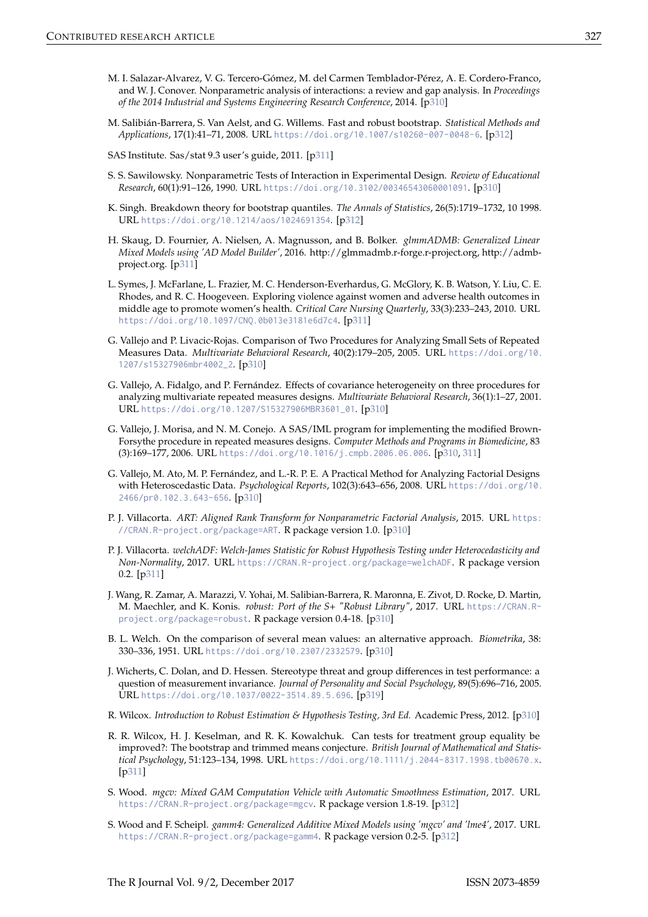- M. I. Salazar-Alvarez, V. G. Tercero-Gómez, M. del Carmen Temblador-Pérez, A. E. Cordero-Franco, and W. J. Conover. Nonparametric analysis of interactions: a review and gap analysis. In *Proceedings of the 2014 Industrial and Systems Engineering Research Conference*, 2014. [p310]
- M. Salibián-Barrera, S. Van Aelst, and G. Willems. Fast and robust bootstrap. *Statistical Methods and Applications*, 17(1):41–71, 2008. URL https://doi.org/10.1007/s10260-007-0048-6. [p312]

SAS Institute. Sas/stat 9.3 user's guide, 2011. [p311]

- S. S. Sawilowsky. Nonparametric Tests of Interaction in Experimental Design. *Review of Educational Research*, 60(1):91–126, 1990. URL https://doi.org/10.3102/00346543060001091. [p310]
- K. Singh. Breakdown theory for bootstrap quantiles. *The Annals of Statistics*, 26(5):1719–1732, 10 1998. URL https://doi.org/10.1214/aos/1024691354. [p312]
- H. Skaug, D. Fournier, A. Nielsen, A. Magnusson, and B. Bolker. *glmmADMB: Generalized Linear Mixed Models using 'AD Model Builder'*, 2016. http://glmmadmb.r-forge.r-project.org, http://admbproject.org. [p311]
- L. Symes, J. McFarlane, L. Frazier, M. C. Henderson-Everhardus, G. McGlory, K. B. Watson, Y. Liu, C. E. Rhodes, and R. C. Hoogeveen. Exploring violence against women and adverse health outcomes in middle age to promote women's health. *Critical Care Nursing Quarterly*, 33(3):233–243, 2010. URL https://doi.org/10.1097/CNQ.0b013e3181e6d7c4. [p311]
- G. Vallejo and P. Livacic-Rojas. Comparison of Two Procedures for Analyzing Small Sets of Repeated Measures Data. *Multivariate Behavioral Research*, 40(2):179–205, 2005. URL https://doi.org/10. 1207/s15327906mbr4002\_2. [p310]
- G. Vallejo, A. Fidalgo, and P. Fernández. Effects of covariance heterogeneity on three procedures for analyzing multivariate repeated measures designs. *Multivariate Behavioral Research*, 36(1):1–27, 2001. URL https://doi.org/10.1207/S15327906MBR3601\_01. [p310]
- G. Vallejo, J. Morisa, and N. M. Conejo. A SAS/IML program for implementing the modified Brown-Forsythe procedure in repeated measures designs. *Computer Methods and Programs in Biomedicine*, 83 (3):169–177, 2006. URL https://doi.org/10.1016/j.cmpb.2006.06.006. [p310, 311]
- G. Vallejo, M. Ato, M. P. Fernández, and L.-R. P. E. A Practical Method for Analyzing Factorial Designs with Heteroscedastic Data. *Psychological Reports*, 102(3):643–656, 2008. URL https://doi.org/10. 2466/pr0.102.3.643-656. [p310]
- P. J. Villacorta. *ART: Aligned Rank Transform for Nonparametric Factorial Analysis*, 2015. URL https: //CRAN.R-project.org/package=ART. R package version 1.0. [p310]
- P. J. Villacorta. *welchADF: Welch-James Statistic for Robust Hypothesis Testing under Heterocedasticity and Non-Normality*, 2017. URL https://CRAN.R-project.org/package=welchADF. R package version 0.2. [p311]
- J. Wang, R. Zamar, A. Marazzi, V. Yohai, M. Salibian-Barrera, R. Maronna, E. Zivot, D. Rocke, D. Martin, M. Maechler, and K. Konis. *robust: Port of the S+ "Robust Library"*, 2017. URL https://CRAN.Rproject.org/package=robust. R package version 0.4-18. [p310]
- B. L. Welch. On the comparison of several mean values: an alternative approach. *Biometrika*, 38: 330–336, 1951. URL https://doi.org/10.2307/2332579. [p310]
- J. Wicherts, C. Dolan, and D. Hessen. Stereotype threat and group differences in test performance: a question of measurement invariance. *Journal of Personality and Social Psychology*, 89(5):696–716, 2005. URL https://doi.org/10.1037/0022-3514.89.5.696. [p319]
- R. Wilcox. *Introduction to Robust Estimation & Hypothesis Testing, 3rd Ed.* Academic Press, 2012. [p310]
- R. R. Wilcox, H. J. Keselman, and R. K. Kowalchuk. Can tests for treatment group equality be improved?: The bootstrap and trimmed means conjecture. *British Journal of Mathematical and Statistical Psychology*, 51:123–134, 1998. URL https://doi.org/10.1111/j.2044-8317.1998.tb00670.x. [p311]
- S. Wood. *mgcv: Mixed GAM Computation Vehicle with Automatic Smoothness Estimation*, 2017. URL https://CRAN.R-project.org/package=mgcv. R package version 1.8-19. [p312]
- S. Wood and F. Scheipl. *gamm4: Generalized Additive Mixed Models using 'mgcv' and 'lme4'*, 2017. URL https://CRAN.R-project.org/package=gamm4. R package version 0.2-5. [p312]